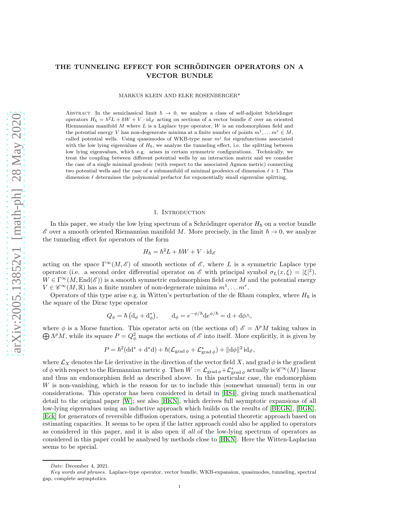# THE TUNNELING EFFECT FOR SCHRÖDINGER OPERATORS ON A VECTOR BUNDLE

MARKUS KLEIN AND ELKE ROSENBERGER\*

ABSTRACT. In the semiclassical limit  $\hbar \rightarrow 0$ , we analyze a class of self-adjoint Schrödinger operators  $H_{\hbar} = \hbar^2 L + \hbar W + V \cdot id_{\mathscr{E}}$  acting on sections of a vector bundle  $\mathscr{E}$  over an oriented Riemannian manifold  $M$  where  $L$  is a Laplace type operator,  $W$  is an endomorphism field and the potential energy V has non-degenerate minima at a finite number of points  $m^1, \ldots m^r \in M$ , called potential wells. Using quasimodes of WKB-type near  $m<sup>j</sup>$  for eigenfunctions associated with the low lying eigenvalues of  $H_h$ , we analyze the tunneling effect, i.e. the splitting between low lying eigenvalues, which e.g. arises in certain symmetric configurations. Technically, we treat the coupling between different potential wells by an interaction matrix and we consider the case of a single minimal geodesic (with respect to the associated Agmon metric) connecting two potential wells and the case of a submanifold of minimal geodesics of dimension  $\ell + 1$ . This dimension  $\ell$  determines the polynomial prefactor for exponentially small eigenvalue splitting.

## 1. INTRODUCTION

In this paper, we study the low lying spectrum of a Schrödinger operator  $H_{\hbar}$  on a vector bundle  $\mathscr E$  over a smooth oriented Riemannian manifold M. More precisely, in the limit  $\hbar \to 0$ , we analyze the tunneling effect for operators of the form

$$
H_{\hbar} = \hbar^2 L + \hbar W + V \cdot \mathrm{id}_{\mathscr{E}}
$$

acting on the space  $\Gamma^{\infty}(M,\mathscr{E})$  of smooth sections of  $\mathscr{E}$ , where L is a symmetric Laplace type operator (i.e. a second order differential operator on  $\mathscr E$  with principal symbol  $\sigma_L(x,\xi) = |\xi|^2$ ),  $W \in \Gamma^\infty(M, \text{End}(\mathscr{E}))$  is a smooth symmetric endomorphism field over M and the potential energy  $V \in \mathscr{C}^{\infty}(M,\mathbb{R})$  has a finite number of non-degenerate minima  $m^1, \ldots m^r$ .

Operators of this type arise e.g. in Witten's perturbation of the de Rham complex, where  $H_h$  is the square of the Dirac type operator

$$
Q_{\phi} = \hbar \left( d_{\phi} + d_{\phi}^{*} \right), \qquad d_{\phi} = e^{-\phi/\hbar} d e^{\phi/\hbar} = d + d\phi \wedge,
$$

where  $\phi$  is a Morse function. This operator acts on (the sections of)  $\mathscr{E} = \Lambda^p M$  taking values in  $\bigoplus \Lambda^p M$ , while its square  $P = Q^2_{\phi}$  maps the sections of  $\mathscr E$  into itself. More explicitly, it is given by

$$
P = \hbar^2(\mathrm{d} \mathrm{d}^* + \mathrm{d}^* \mathrm{d}) + \hbar(\mathcal{L}_{\mathrm{grad}\,\phi} + \mathcal{L}_{\mathrm{grad}\,\phi}^*) + ||\mathrm{d}\phi||^2 \mathrm{id}_{\mathscr{E}},
$$

where  $\mathcal{L}_X$  denotes the Lie derivative in the direction of the vector field X, and grad  $\phi$  is the gradient of  $\phi$  with respect to the Riemannian metric g. Then  $W := \mathcal{L}_{\mathrm{grad} \phi} + \mathcal{L}_{\mathrm{grad} \phi}^*$  actually is  $\mathscr{C}^{\infty}(M)$  linear and thus an endomorphism field as described above. In this particular case, the endomorphism W is non-vanishing, which is the reason for us to include this (somewhat unusual) term in our considerations. This operator has been considered in detail in [\[HS4\]](#page-21-0), giving much mathematical detail to the original paper [\[W\]](#page-22-0); see also [\[HKN\]](#page-21-1), which derives full asymptotic expansions of all low-lying eigenvalues using an inductive approach which builds on the results of [\[BEGK\]](#page-21-2), [\[BGK\]](#page-21-3), [\[Eck\]](#page-21-4) for generators of reversible diffusion operators, using a potential theoretic approach based on estimating capacities. It seems to be open if the latter approach could also be applied to operators as considered in this paper, and it is also open if all of the low-lying spectrum of operators as considered in this paper could be analysed by methods close to [\[HKN\]](#page-21-1). Here the Witten-Laplacian seems to be special.

Date: December 4, 2021.

Key words and phrases. Laplace-type operator, vector bundle, WKB-expansion, quasimodes, tunneling, spectral gap, complete asymptotics.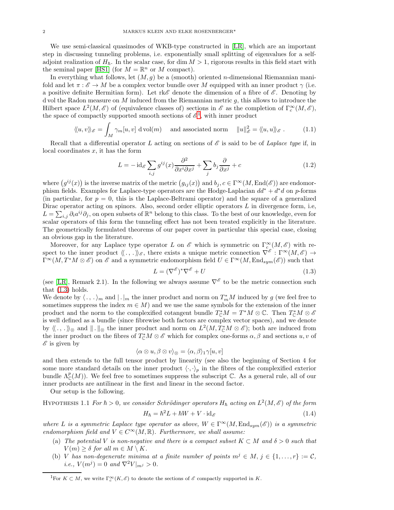We use semi-classical quasimodes of WKB-type constructed in [\[LR\]](#page-22-1), which are an important step in discussing tunneling problems, i.e. exponentially small splitting of eigenvalues for a selfadjoint realization of  $H_h$ . In the scalar case, for dim  $M > 1$ , rigorous results in this field start with the seminal paper [\[HS1\]](#page-21-5) (for  $M = \mathbb{R}^n$  or M compact).

In everything what follows, let  $(M, g)$  be a (smooth) oriented *n*-dimensional Riemannian manifold and let  $\pi : \mathscr{E} \to M$  be a complex vector bundle over M equipped with an inner product  $\gamma$  (i.e. a positive definite Hermitian form). Let rk $\mathscr E$  denote the dimension of a fibre of  $\mathscr E$ . Denoting by d vol the Radon measure on M induced from the Riemannian metric  $q$ , this allows to introduce the Hilbert space  $L^2(M, \mathscr{E})$  of (equivalence classes of) sections in  $\mathscr{E}$  as the completion of  $\Gamma_c^{\infty}(M, \mathscr{E})$ , the space of compactly supported smooth sections of  $\mathscr{E}^1$  $\mathscr{E}^1$ , with inner product

$$
\langle\!\langle u,v\rangle\rangle_{\mathscr{E}} = \int_M \gamma_m[u,v] \, \mathrm{d} \operatorname{vol}(m) \quad \text{ and associated norm} \quad \|u\|_{\mathscr{E}}^2 = \langle\!\langle u,u\rangle\rangle_{\mathscr{E}}. \tag{1.1}
$$

Recall that a differential operator L acting on sections of  $\mathscr E$  is said to be of Laplace type if, in local coordinates  $x$ , it has the form

$$
L = -\operatorname{id}_{\mathscr{E}} \sum_{i,j} g^{ij}(x) \frac{\partial^2}{\partial x^i \partial x^j} + \sum_j b_j \frac{\partial}{\partial x^j} + c \tag{1.2}
$$

where  $(g^{ij}(x))$  is the inverse matrix of the metric  $(g_{ij}(x))$  and  $b_j, c \in \Gamma^\infty(M, \text{End}(\mathscr{E}))$  are endomorphism fields. Examples for Laplace-type operators are the Hodge-Laplacian  $dd^* + d^*d$  on p-forms (in particular, for  $p = 0$ , this is the Laplace-Beltrami operator) and the square of a generalized Dirac operator acting on spinors. Also, second order elliptic operators  $L$  in divergence form, i.e,  $L = \sum_{i,j} \partial_i a^{ij} \partial_j$ , on open subsets of  $\mathbb{R}^n$  belong to this class. To the best of our knowledge, even for scalar operators of this form the tunneling effect has not been treated explicitly in the literature. The geometrically formulated theorems of our paper cover in particular this special case, closing an obvious gap in the literature.

Moreover, for any Laplace type operator L on  $\mathscr E$  which is symmetric on  $\Gamma_{c}^{\infty}(M,\mathscr E)$  with respect to the inner product  $\langle\!\langle \ldots \rangle\!\rangle_{\mathscr{E}}$ , there exists a unique metric connection  $\nabla^{\mathscr{E}}$ :  $\Gamma^{\infty}(M,\mathscr{E}) \to$  $\Gamma^\infty(M, T^*M\otimes\mathscr{E})$  on  $\mathscr{E}$  and a symmetric endomorphism field  $U \in \Gamma^\infty(M, \text{End}_{sym}(\mathscr{E}))$  such that

<span id="page-1-1"></span>
$$
L = (\nabla^{\mathscr{E}})^* \nabla^{\mathscr{E}} + U \tag{1.3}
$$

(see [\[LR\]](#page-22-1), Remark 2.1). In the following we always assume  $\nabla^{\mathscr{E}}$  to be the metric connection such that  $(1.3)$  holds.

We denote by  $\langle \cdot, \cdot \rangle_m$  and  $|\cdot|_m$  the inner product and norm on  $T^*_mM$  induced by g (we feel free to sometimes suppress the index  $m \in M$ ) and we use the same symbols for the extension of the inner product and the norm to the complexified cotangent bundle  $T_{\mathbb{C}}^*M = T^*M \otimes \mathbb{C}$ . Then  $T_{\mathbb{C}}^*M \otimes \mathscr{E}$ is well defined as a bundle (since fibrewise both factors are complex vector spaces), and we denote by  $\langle\!\langle \,.\,,\,.\,\rangle\!\rangle_{\otimes}$  and  $\|\,.\,\|_{\otimes}$  the inner product and norm on  $L^2(M,T^*_{\mathbb{C}}M\otimes\mathscr{E});$  both are induced from the inner product on the fibres of  $T_{\mathbb{C}}^*M \otimes \mathscr{E}$  which for complex one-forms  $\alpha, \beta$  and sections  $u, v$  of  $\mathscr E$  is given by

$$
\langle \alpha \otimes u, \beta \otimes v \rangle_{\otimes} = \langle \alpha, \beta \rangle_{1} \gamma[u, v]
$$

and then extends to the full tensor product by linearity (see also the beginning of Section 4 for some more standard details on the inner product  $\langle \cdot, \cdot \rangle_p$  in the fibres of the complexified exterior bundle  $\Lambda^p_{\mathbb{C}}(M)$ ). We feel free to sometimes suppress the subscript C. As a general rule, all of our inner products are antilinear in the first and linear in the second factor.

Our setup is the following.

<span id="page-1-3"></span>HYPOTHESIS 1.1 For 
$$
\hbar > 0
$$
, we consider Schrödinger operators  $H_{\hbar}$  acting on  $L^2(M, \mathscr{E})$  of the form

<span id="page-1-2"></span>
$$
H_{\hbar} = \hbar^2 L + \hbar W + V \cdot \mathrm{id}_{\mathscr{E}} \tag{1.4}
$$

where L is a symmetric Laplace type operator as above,  $W \in \Gamma^{\infty}(M, \text{End}_{sym}(\mathscr{E}))$  is a symmetric endomorphism field and  $V \in C^{\infty}(M,\mathbb{R})$ . Furthermore, we shall assume:

- (a) The potential V is non-negative and there is a compact subset  $K \subset M$  and  $\delta > 0$  such that  $V(m) \geq \delta$  for all  $m \in M \setminus K$ .
- (b) V has non-degenerate minima at a finite number of points  $m^j \in M$ ,  $j \in \{1, ..., r\} := \mathcal{C}$ , *i.e.*,  $V(m^j) = 0$  and  $\nabla^2 V|_{m^j} > 0$ .

<span id="page-1-0"></span><sup>1</sup>For  $K \subset M$ , we write  $\Gamma_c^{\infty}(K, \mathscr{E})$  to denote the sections of  $\mathscr{E}$  compactly supported in K.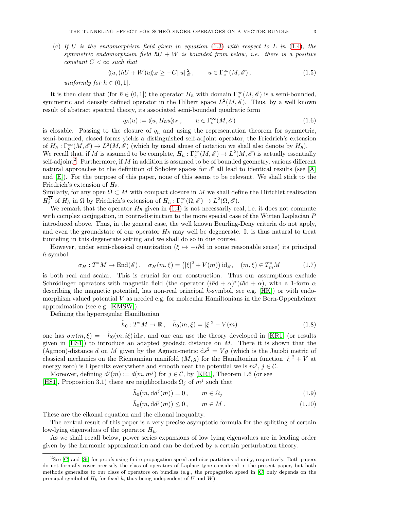(c) If U is the endomorphism field given in equation  $(1.3)$  with respect to L in  $(1.4)$ , the symmetric endomorphism field  $\hbar U + W$  is bounded from below, i.e. there is a positive constant  $C < \infty$  such that

<span id="page-2-1"></span>
$$
\langle\!\langle u, (\hbar U + W)u \rangle\!\rangle_{\mathscr{E}} \ge -C \|u\|_{\mathscr{E}}^2, \qquad u \in \Gamma_c^{\infty}(M, \mathscr{E}), \tag{1.5}
$$

uniformly for  $h \in (0, 1]$ .

It is then clear that (for  $h \in (0,1]$ ) the operator  $H_h$  with domain  $\Gamma_c^{\infty}(M, \mathscr{E})$  is a semi-bounded, symmetric and densely defined operator in the Hilbert space  $L^2(M, \mathscr{E})$ . Thus, by a well known result of abstract spectral theory, its associated semi-bounded quadratic form

$$
q_{\hbar}(u) := \langle\langle u, H_{\hbar} u \rangle\rangle_{\mathscr{E}}, \qquad u \in \Gamma_c^{\infty}(M, \mathscr{E})
$$
\n(1.6)

is closable. Passing to the closure of  $q_h$  and using the representation theorem for symmetric, semi-bounded, closed forms yields a distinguished self-adjoint operator, the Friedrich's extension of  $H_{\hbar}: \Gamma_c^{\infty}(M, \mathscr{E}) \to L^2(M, \mathscr{E})$  (which by usual abuse of notation we shall also denote by  $H_{\hbar}$ ).

We recall that, if M is assumed to be complete,  $H_{\hbar}: \Gamma_c^{\infty}(M, \mathscr{E}) \to L^2(M, \mathscr{E})$  is actually essentially self-adjoint<sup>[2](#page-2-0)</sup>. Furthermore, if M in addition is assumed to be of bounded geometry, various different natural approaches to the definition of Sobolev spaces for  $\mathscr E$  all lead to identical results (see [\[A\]](#page-21-6) and [\[E\]](#page-21-7)). For the purpose of this paper, none of this seems to be relevant. We shall stick to the Friedrich's extension of  $H_{\hbar}$ .

Similarly, for any open  $\Omega \subset M$  with compact closure in M we shall define the Dirichlet realization  $H_h^{\overline{\Omega}}$  of  $H_h$  in  $\Omega$  by Friedrich's extension of  $H_h: \Gamma_c^{\infty}(\Omega, \mathscr{E}) \to L^2(\Omega, \mathscr{E})$ .

We remark that the operator  $H_{\hbar}$  given in [\(1.4\)](#page-1-2) is not necessarily real, i.e. it does not commute with complex conjugation, in contradistinction to the more special case of the Witten Laplacian P introduced above. Thus, in the general case, the well known Beurling-Deny criteria do not apply, and even the groundstate of our operator  $H_h$  may well be degenerate. It is thus natural to treat tunneling in this degenerate setting and we shall do so in due course.

However, under semi-classical quantization ( $\xi \mapsto -i\hbar d$  in some reasonable sense) its principal  $\hbar$ -symbol

$$
\sigma_H: T^*M \to \text{End}(\mathscr{E}), \quad \sigma_H(m,\xi) = (|\xi|^2 + V(m)) \text{ id}_{\mathscr{E}}, \quad (m,\xi) \in T_m^*M \tag{1.7}
$$

is both real and scalar. This is crucial for our construction. Thus our assumptions exclude Schrödinger operators with magnetic field (the operator  $(i\hbar d + \alpha)^*(i\hbar d + \alpha)$ , with a 1-form  $\alpha$ describing the magnetic potential, has non-real principal  $\hbar$ -symbol, see e.g. [\[HK\]](#page-21-8)) or with endomorphism valued potential  $V$  as needed e.g. for molecular Hamiltonians in the Born-Oppenheimer approximation (see e.g. [\[KMSW\]](#page-21-9)).

Defining the hyperregular Hamiltonian

<span id="page-2-4"></span>
$$
\tilde{h}_0: T^*M \to \mathbb{R}, \quad \tilde{h}_0(m,\xi) = |\xi|^2 - V(m)
$$
\n(1.8)

one has  $\sigma_H(m, \xi) = -\tilde{h}_0(m, i\xi) \mathrm{id}_{\mathscr{E}}$ , and one can use the theory developed in [\[KR1\]](#page-22-2) (or results given in  $[HS1]$ ) to introduce an adapted geodesic distance on  $M$ . There it is shown that the (Agmon)-distance d on M given by the Agmon-metric  $ds^2 = Vg$  (which is the Jacobi metric of classical mechanics on the Riemannian manifold  $(M, g)$  for the Hamiltonian function  $|\xi|^2 + V$  at energy zero) is Lipschitz everywhere and smooth near the potential wells  $m^j$ ,  $j \in \mathcal{C}$ .

Moreover, defining  $d^j(m) := d(m, m^j)$  for  $j \in \mathcal{C}$ , by [\[KR1\]](#page-22-2), Theorem 1.6 (or see [\[HS1\]](#page-21-5), Proposition 3.1) there are neighborhoods  $\Omega_j$  of  $m^j$  such that

<span id="page-2-3"></span><span id="page-2-2"></span>
$$
\tilde{h}_0(m, \mathrm{d}d^j(m)) = 0, \qquad m \in \Omega_j \tag{1.9}
$$

$$
\tilde{h}_0(m, \mathrm{d}d^j(m)) \le 0, \qquad m \in M. \tag{1.10}
$$

These are the eikonal equation and the eikonal inequality.

The central result of this paper is a very precise asymptotic formula for the splitting of certain low-lying eigenvalues of the operator  $H_h$ .

As we shall recall below, power series expansions of low lying eigenvalues are in leading order given by the harmonic approximation and can be derived by a certain perturbation theory.

<span id="page-2-0"></span><sup>2</sup>See [\[C\]](#page-21-10) and [\[St\]](#page-22-3) for proofs using finite propagation speed and nice partitions of unity, respectively. Both papers do not formally cover precisely the class of operators of Laplace type considered in the present paper, but both methods generalize to our class of operators on bundles (e.g., the propagation speed in [\[C\]](#page-21-10) only depends on the principal symbol of  $H<sub>\hbar</sub>$  for fixed  $\hbar$ , thus being independent of U and W).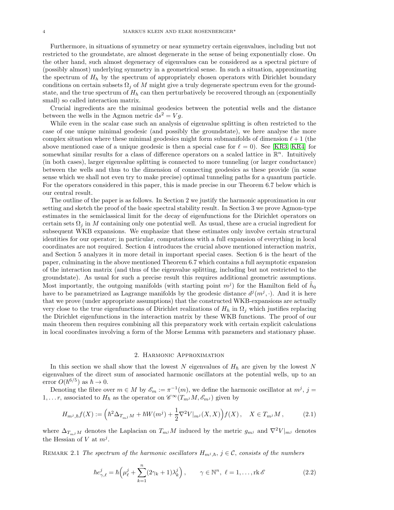Furthermore, in situations of symmetry or near symmetry certain eigenvalues, including but not restricted to the groundstate, are almost degenerate in the sense of being exponentially close. On the other hand, such almost degeneracy of eigenvalues can be considered as a spectral picture of (possibly almost) underlying symmetry in a geometrical sense. In such a situation, approximating the spectrum of  $H_h$  by the spectrum of appropriately chosen operators with Dirichlet boundary conditions on certain subsets  $\Omega_i$  of M might give a truly degenerate spectrum even for the groundstate, and the true spectrum of  $H_h$  can then perturbatively be recovered through an (exponentially small) so called interaction matrix.

Crucial ingredients are the minimal geodesics between the potential wells and the distance between the wells in the Agmon metric  $ds^2 = Vg$ .

While even in the scalar case such an analysis of eigenvalue splitting is often restricted to the case of one unique minimal geodesic (and possibly the groundstate), we here analyse the more complex situation where these minimal geodesics might form submanifolds of dimension  $\ell+1$  (the above mentioned case of a unique geodesic is then a special case for  $\ell = 0$ ). See [\[KR3,](#page-22-4) [KR4\]](#page-22-5) for somewhat similar results for a class of difference operators on a scaled lattice in  $\mathbb{R}^n$ . Intuitively (in both cases), larger eigenvalue splitting is connected to more tunneling (or larger conductance) between the wells and thus to the dimension of connecting geodesics as these provide (in some sense which we shall not even try to make precise) optimal tunneling paths for a quantum particle. For the operators considered in this paper, this is made precise in our Theorem 6.7 below which is our central result.

The outline of the paper is as follows. In Section 2 we justify the harmonic approximation in our setting and sketch the proof of the basic spectral stability result. In Section 3 we prove Agmon-type estimates in the semiclassical limit for the decay of eigenfunctions for the Dirichlet operators on certain sets  $\Omega_i$  in M containing only one potential well. As usual, these are a crucial ingredient for subsequent WKB expansions. We emphasize that these estimates only involve certain structural identities for our operator; in particular, computations with a full expansion of everything in local coordinates are not required. Section 4 introduces the crucial above mentioned interaction matrix, and Section 5 analyzes it in more detail in important special cases. Section 6 is the heart of the paper, culminating in the above mentioned Theorem 6.7 which contains a full asymptotic expansion of the interaction matrix (and thus of the eigenvalue splitting, including but not restricted to the groundstate). As usual for such a precise result this requires additional geometric assumptions. Most importantly, the outgoing manifolds (with starting point  $m^j$ ) for the Hamilton field of  $\tilde{h}_0$ have to be parametrized as Lagrange manifolds by the geodesic distance  $d^j(m^j, \cdot)$ . And it is here that we prove (under appropriate assumptions) that the constructed WKB-expansions are actually very close to the true eigenfunctions of Dirichlet realizations of  $H_h$  in  $\Omega_i$  which justifies replacing the Dirichlet eigenfunctions in the interaction matrix by these WKB functions. The proof of our main theorem then requires combining all this preparatory work with certain explicit calculations in local coordinates involving a form of the Morse Lemma with parameters and stationary phase.

### 2. Harmonic Approximation

In this section we shall show that the lowest N eigenvalues of  $H_h$  are given by the lowest N eigenvalues of the direct sum of associated harmonic oscillators at the potential wells, up to an error  $O(\hbar^{6/5})$  as  $\hbar \to 0$ .

Denoting the fibre over  $m \in M$  by  $\mathscr{E}_m := \pi^{-1}(m)$ , we define the harmonic oscillator at  $m^j$ ,  $j =$  $1, \ldots r$ , associated to  $H_{\hbar}$  as the operator on  $\mathscr{C}^{\infty}(T_{m}M, \mathscr{E}_{m})$  given by

<span id="page-3-0"></span>
$$
H_{m^j, \hbar}f(X) := \left(\hbar^2 \Delta_{T_{m^j}M} + \hbar W(m^j) + \frac{1}{2}\nabla^2 V|_{m^j}(X, X)\right) f(X), \quad X \in T_{m^j}M\,,\tag{2.1}
$$

where  $\Delta_{T_{m}jM}$  denotes the Laplacian on  $T_{m}jM$  induced by the metric  $g_{m}j$  and  $\nabla^2V|_{m}j$  denotes the Hessian of V at  $m^j$ .

REMARK 2.1 The spectrum of the harmonic oscillators  $H_{m,j,h}$ ,  $j \in \mathcal{C}$ , consists of the numbers

<span id="page-3-1"></span>
$$
\hbar e_{\gamma,\ell}^j = \hbar \left( \mu_\ell^j + \sum_{k=1}^n (2\gamma_k + 1)\lambda_k^j \right), \qquad \gamma \in \mathbb{N}^n, \ \ell = 1, \dots, \text{rk } \mathscr{E}
$$
 (2.2)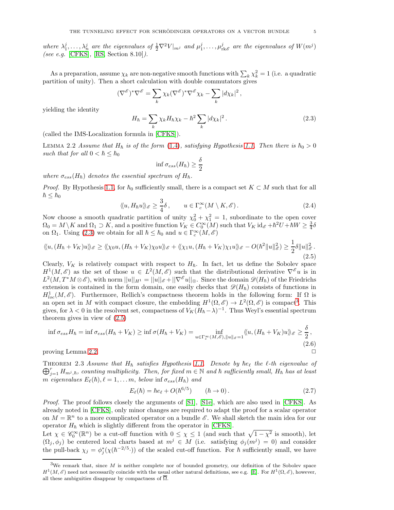where  $\lambda_1^j, \ldots, \lambda_n^j$  are the eigenvalues of  $\frac{1}{2} \nabla^2 V|_{m^j}$  and  $\mu_1^j, \ldots, \mu_{\text{rk}\mathscr{E}}^j$  are the eigenvalues of  $W(m^j)$ (see e.g. [\[CFKS\]](#page-21-11), [\[RS,](#page-22-6) Section 8.10]).

As a preparation, assume  $\chi_k$  are non-negative smooth functions with  $\sum_k \chi_k^2 = 1$  (i.e. a quadratic partition of unity). Then a short calculation with double commutators gives

$$
(\nabla^{\mathscr{E}})^* \nabla^{\mathscr{E}} = \sum_k \chi_k (\nabla^{\mathscr{E}})^* \nabla^{\mathscr{E}} \chi_k - \sum_k |d\chi_k|^2,
$$

yielding the identity

<span id="page-4-0"></span>
$$
H_{\hbar} = \sum_{k} \chi_k H_{\hbar} \chi_k - \hbar^2 \sum_{k} |d\chi_k|^2.
$$
 (2.3)

(called the IMS-Localization formula in [\[CFKS\]](#page-21-11)).

<span id="page-4-3"></span>LEMMA 2.2 Assume that  $H_h$  is of the form [\(1.4\)](#page-1-2), satisfying Hypothesis [1.1.](#page-1-3) Then there is  $\hbar_0 > 0$ such that for all  $0 < \hbar \leq \hbar_0$ 

$$
\inf \sigma_{ess}(H_{\hbar}) \geq \frac{\delta}{2}
$$

where  $\sigma_{ess}(H_{\hbar})$  denotes the essential spectrum of  $H_{\hbar}$ .

*Proof.* By Hypothesis [1.1,](#page-1-3) for  $\hbar_0$  sufficiently small, there is a compact set  $K \subset M$  such that for all  $\hbar \leq \hbar_0$ 

$$
\langle\!\langle u, H_h u \rangle\!\rangle_{\mathscr{E}} \ge \frac{3}{4} \delta \,, \qquad u \in \Gamma_c^{\infty}(M \setminus K, \mathscr{E}) \,. \tag{2.4}
$$

Now choose a smooth quadratic partition of unity  $\chi_0^2 + \chi_1^2 = 1$ , subordinate to the open cover  $\Omega_0 = M \setminus K$  and  $\Omega_1 \supset K$ , and a positive function  $V_K \in C_0^{\infty}(M)$  such that  $V_K$  id<sub>&</sub> + $\hbar^2 U + \hbar W \ge \frac{3}{4}\delta$ on  $\Omega_1$ . Using [\(2.3\)](#page-4-0) we obtain for all  $\hbar \leq \hbar_0$  and  $u \in \Gamma_c^{\infty}(M, \mathscr{E})$ 

<span id="page-4-2"></span>
$$
\langle\langle u, (H_{\hbar} + V_K)u \rangle\rangle_{\mathscr{E}} \geq \langle\langle \chi_0 u, (H_{\hbar} + V_K) \chi_0 u \rangle\rangle_{\mathscr{E}} + \langle\langle \chi_1 u, (H_{\hbar} + V_K) \chi_1 u \rangle\rangle_{\mathscr{E}} - O(\hbar^2 \|u\|_{\mathscr{E}}^2) \geq \frac{1}{2} \delta \|u\|_{\mathscr{E}}^2.
$$
\n(2.5)

Clearly,  $V_K$  is relatively compact with respect to  $H_{\hbar}$ . In fact, let us define the Sobolev space  $H^1(M,\mathscr{E})$  as the set of those  $u \in L^2(M,\mathscr{E})$  such that the distributional derivative  $\nabla^{\mathscr{E}} u$  is in  $L^2(M, T^*M \otimes \mathscr{E}),$  with norm  $||u||_{H^1} = ||u||_{\mathscr{E}} + ||\nabla^{\mathscr{E}} u||_{\otimes}.$  Since the domain  $\mathscr{D}(H_h)$  of the Friedrichs extension is contained in the form domain, one easily checks that  $\mathscr{D}(H_{\hbar})$  consists of functions in  $H_{loc}^1(M,\mathscr{E})$ . Furthermore, Rellich's compactness theorem holds in the following form: If  $\Omega$  is an open set in M with compact closure, the embedding  $H^1(\Omega, \mathscr{E}) \to L^2(\Omega, \mathscr{E})$  is compact<sup>[3](#page-4-1)</sup>. This gives, for  $\lambda < 0$  in the resolvent set, compactness of  $V_K(H_{\hbar}-\lambda)^{-1}$ . Thus Weyl's essential spectrum theorem gives in view of [\(2.5\)](#page-4-2)

$$
\inf \sigma_{ess} H_{\hbar} = \inf \sigma_{ess} (H_{\hbar} + V_K) \ge \inf \sigma (H_{\hbar} + V_K) = \inf_{u \in \Gamma_c^{\infty}(M, \mathscr{E}), \|u\|_{\mathscr{E}} = 1} \langle\!\langle u, (H_{\hbar} + V_K)u \rangle\!\rangle_{\mathscr{E}} \ge \frac{\delta}{2},\tag{2.6}
$$

proving Lemma [2.2.](#page-4-3)  $\Box$ 

<span id="page-4-5"></span>THEOREM 2.3 Assume that  $H_{\hbar}$  satisfies Hypothesis [1.1.](#page-1-3) Denote by  $\hbar e_{\ell}$  the  $\ell$ -th eigenvalue of  $\bigoplus_{j=1}^r H_{m^j,\hbar}$ , counting multiplicity. Then, for fixed  $m\in\mathbb{N}$  and  $\hbar$  sufficiently small,  $H_\hbar$  has at least m eigenvalues  $E_{\ell}(\hbar), \ell = 1, \ldots m$ , below inf  $\sigma_{ess}(H_{\hbar})$  and

<span id="page-4-4"></span>
$$
E_{\ell}(\hbar) = \hbar e_{\ell} + O(\hbar^{6/5}) \qquad (\hbar \to 0). \qquad (2.7)
$$

Proof. The proof follows closely the arguments of [\[S1\]](#page-22-7), [\[S1e\]](#page-22-8), which are also used in [\[CFKS\]](#page-21-11). As already noted in [\[CFKS\]](#page-21-11), only minor changes are required to adapt the proof for a scalar operator on  $M = \mathbb{R}^n$  to a more complicated operator on a bundle  $\mathscr{E}$ . We shall sketch the main idea for our operator  $H_{\hbar}$  which is slightly different from the operator in [\[CFKS\]](#page-21-11).

Let  $\chi \in \mathscr{C}_0^{\infty}(\mathbb{R}^n)$  be a cut-off function with  $0 \leq \chi \leq 1$  (and such that  $\sqrt{1-\chi^2}$  is smooth), let  $(\Omega_j, \phi_j)$  be centered local charts based at  $m^j \in M$  (i.e. satisfying  $\phi_j(m^j) = 0$ ) and consider the pull-back  $\chi_j = \phi_j^*(\chi(\hbar^{-2/5} \cdot))$  of the scaled cut-off function. For  $\hbar$  sufficiently small, we have

<span id="page-4-1"></span><sup>&</sup>lt;sup>3</sup>We remark that, since M is neither complete nor of bounded geometry, our definition of the Sobolev space  $H^1(M,\mathscr{E})$  need not necessarily coincide with the usual other natural definitions, see e.g. [\[E\]](#page-21-7). For  $H^1(\Omega,\mathscr{E})$ , however, all these ambiguities disappear by compactness of  $Ω$ .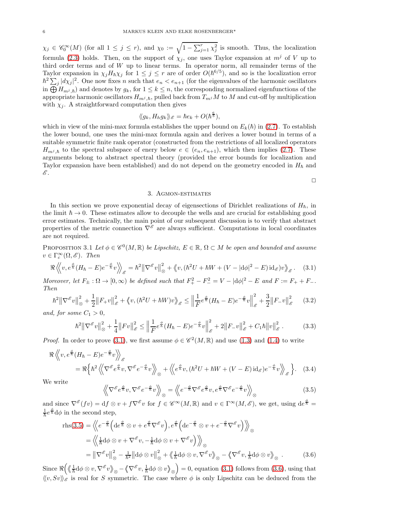$\chi_j \in \mathscr{C}_0^{\infty}(M)$  (for all  $1 \leq j \leq r$ ), and  $\chi_0 := \sqrt{1 - \sum_{j=1}^r \chi_j^2}$  is smooth. Thus, the localization formula [\(2.3\)](#page-4-0) holds. Then, on the support of  $\chi_j$ , one uses Taylor expansion at  $m^j$  of V up to third order terms and of  $W$  up to linear terms. In operator norm, all remainder terms of the Taylor expansion in  $\chi_j H_h \chi_j$  for  $1 \leq j \leq r$  are of order  $O(\hbar^{6/5})$ , and so is the localization error  $\hbar^2 \sum_j |d\chi_j|^2$ . One now fixes n such that  $e_n < e_{n+1}$  (for the eigenvalues of the harmonic oscillators in  $\bigoplus H_{m,j,h}$  and denotes by  $g_k$ , for  $1 \leq k \leq n$ , the corresponding normalized eigenfunctions of the appropriate harmonic oscillators  $H_{m,j,h}$ , pulled back from  $T_{m,j}M$  to M and cut-off by multiplication with  $\chi_i$ . A straightforward computation then gives

$$
\langle g_k, H_h g_k \rangle_{\mathscr{E}} = \hbar e_k + O(\hbar^{\frac{6}{5}}),
$$

which in view of the mini-max formula establishes the upper bound on  $E_k(\hbar)$  in [\(2.7\)](#page-4-4). To establish the lower bound, one uses the mini-max formula again and derives a lower bound in terms of a suitable symmetric finite rank operator (constructed from the restrictions of all localized operators  $H_{m,j,\hbar}$  to the spectral subspace of enery below  $e \in (e_n, e_{n+1})$ , which then implies [\(2.7\)](#page-4-4). These arguments belong to abstract spectral theory (provided the error bounds for localization and Taylor expansion have been established) and do not depend on the geometry encoded in  $H_h$  and  $\mathscr{E}.$ 

 $\Box$ 

### 3. Agmon-estimates

In this section we prove exponential decay of eigensections of Dirichlet realizations of  $H_{\hbar}$ , in the limit  $\hbar \to 0$ . These estimates allow to decouple the wells and are crucial for establishing good error estimates. Technically, the main point of our subsequent discussion is to verify that abstract properties of the metric connection  $\nabla^{\mathscr{E}}$  are always sufficient. Computations in local coordinates are not required.

PROPOSITION 3.1 Let  $\phi \in \mathscr{C}^0(M,\mathbb{R})$  be Lipschitz,  $E \in \mathbb{R}$ ,  $\Omega \subset M$  be open and bounded and assume  $v \in \Gamma_c^{\infty}(\Omega, \mathscr{E})$ . Then

<span id="page-5-0"></span>
$$
\Re \left\langle v, e^{\frac{\phi}{\hbar}} (H_{\hbar} - E) e^{-\frac{\phi}{\hbar}} v \right\rangle_{\mathscr{E}} = \hbar^2 \left\| \nabla^{\mathscr{E}} v \right\|_{\otimes}^2 + \left\langle v, (\hbar^2 U + \hbar W + (V - |\mathrm{d}\phi|^2 - E) \mathrm{id}_{\mathscr{E}}) v \right\rangle_{\mathscr{E}}. \tag{3.1}
$$

Moreover, let  $F_{\pm} : \Omega \to [0, \infty)$  be defined such that  $F_{+}^{2} - F_{-}^{2} = V - |\mathrm{d}\phi|^{2} - E$  and  $F := F_{+} + F_{-}$ . Then

<span id="page-5-3"></span>
$$
\hbar^{2} \left\| \nabla^{\mathcal{E}} v \right\|_{\otimes}^{2} + \frac{1}{2} \left\| F_{+} v \right\|_{\mathcal{E}}^{2} + \left\langle v, (\hbar^{2} U + \hbar W) v \right\rangle_{\mathcal{E}} \le \left\| \frac{1}{F} e^{\frac{\phi}{\hbar}} (H_{\hbar} - E) e^{-\frac{\phi}{\hbar}} v \right\|_{\mathcal{E}}^{2} + \frac{3}{2} \left\| F_{-} v \right\|_{\mathcal{E}}^{2} \tag{3.2}
$$

and, for some  $C_1 > 0$ ,

<span id="page-5-4"></span>
$$
\hbar^2 \left\| \nabla^{\mathcal{E}} v \right\|_{\otimes}^2 + \frac{1}{4} \left\| Fv \right\|_{\mathcal{E}}^2 \le \left\| \frac{1}{F} e^{\frac{\phi}{\hbar}} (H_{\hbar} - E) e^{-\frac{\phi}{\hbar}} v \right\|_{\mathcal{E}}^2 + 2 \left\| F_{-} v \right\|_{\mathcal{E}}^2 + C_1 \hbar \left\| v \right\|_{\mathcal{E}}^2. \tag{3.3}
$$

*Proof.* In order to prove [\(3.1\)](#page-5-0), we first assume  $\phi \in \mathcal{C}^2(M,\mathbb{R})$  and use [\(1.3\)](#page-1-1) and [\(1.4\)](#page-1-2) to write

$$
\Re \left\langle v, e^{\frac{\phi}{\hbar}} (H_{\hbar} - E) e^{-\frac{\phi}{\hbar}} v \right\rangle_{\mathscr{E}} \n= \Re \left\{ \hbar^2 \left\langle \nabla^{\mathscr{E}} e^{\frac{\phi}{\hbar}} v, \nabla^{\mathscr{E}} e^{-\frac{\phi}{\hbar}} v \right\rangle_{\mathscr{D}} + \left\langle \nabla^{\mathscr{E}} e^{\frac{\phi}{\hbar}} v, (\hbar^2 U + \hbar W + (V - E) \mathrm{id}_{\mathscr{E}}) e^{-\frac{\phi}{\hbar}} v \right\rangle_{\mathscr{E}} \right\}.
$$
\n(3.4)

We write

<span id="page-5-2"></span><span id="page-5-1"></span>
$$
\left\langle \nabla^{\mathscr{E}} e^{\frac{\phi}{h}} v, \nabla^{\mathscr{E}} e^{-\frac{\phi}{h}} v \right\rangle_{\otimes} = \left\langle \nabla e^{-\frac{\phi}{h}} \nabla^{\mathscr{E}} e^{\frac{\phi}{h}} v, e^{\frac{\phi}{h}} \nabla^{\mathscr{E}} e^{-\frac{\phi}{h}} v \right\rangle_{\otimes} \tag{3.5}
$$

and since  $\nabla^{\mathscr{E}}(fv) = df \otimes v + f \nabla^{\mathscr{E}} v$  for  $f \in \mathscr{C}^{\infty}(M,\mathbb{R})$  and  $v \in \Gamma^{\infty}(M,\mathscr{E})$ , we get, using  $de^{\frac{\phi}{h}} =$  $\frac{1}{\hbar}e^{\frac{\phi}{\hbar}}d\phi$  in the second step,

$$
\text{rhs}(3.5) = \left\langle \left\langle e^{-\frac{\phi}{\hbar}} \left( \text{d}e^{\frac{\phi}{\hbar}} \otimes v + e^{\frac{\phi}{\hbar}} \nabla^{\mathscr{E}} v \right), e^{\frac{\phi}{\hbar}} \left( \text{d}e^{-\frac{\phi}{\hbar}} \otimes v + e^{-\frac{\phi}{\hbar}} \nabla^{\mathscr{E}} v \right) \right\rangle \right\rangle_{\otimes} \n= \left\langle \left\langle \frac{1}{\hbar} \text{d}\phi \otimes v + \nabla^{\mathscr{E}} v, -\frac{1}{\hbar} \text{d}\phi \otimes v + \nabla^{\mathscr{E}} v \right\rangle \right\rangle_{\otimes} \n= \left\| \nabla^{\mathscr{E}} v \right\|_{\otimes}^{2} - \frac{1}{\hbar^{2}} \left\| \text{d}\phi \otimes v \right\|_{\otimes}^{2} + \left\langle \left\langle \frac{1}{\hbar} \text{d}\phi \otimes v, \nabla^{\mathscr{E}} v \right\rangle_{\otimes} - \left\langle \nabla^{\mathscr{E}} v, \frac{1}{\hbar} \text{d}\phi \otimes v \right\rangle_{\otimes} .
$$
\n(3.6)

Since  $\Re\left(\sqrt[\ell]{\frac{1}{\hbar}}d\phi\otimes v,\nabla^{\mathscr{E}}v\right)_{\otimes}-\langle\!\!\!\langle\nabla^{\mathscr{E}}v,\frac{1}{\hbar}d\phi\otimes v\rangle\!\!\!\rangle_{\otimes}$  $= 0$ , equation [\(3.1\)](#page-5-0) follows from [\(3.6\)](#page-5-2), using that  $\langle v, Sv \rangle$  is real for S symmetric. The case where  $\phi$  is only Lipschitz can be deduced from the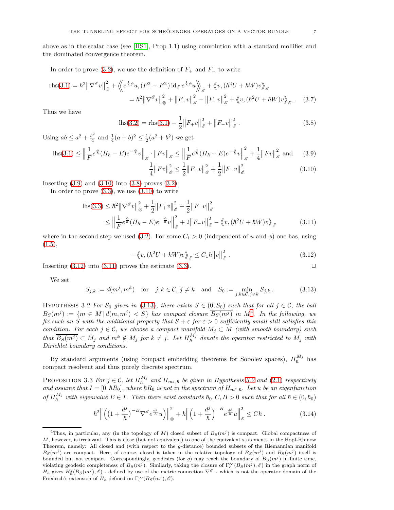above as in the scalar case (see [\[HS1\]](#page-21-5), Prop 1.1) using convolution with a standard mollifier and the dominated convergence theorem.

In order to prove [\(3.2\)](#page-5-3), we use the definition of  $F_+$  and  $F_-\$  to write

$$
\text{rhs}(3.1) = \hbar^2 \left\| \nabla^{\mathcal{E}} v \right\|_{\otimes}^2 + \left\langle \! \left\langle e^{\frac{1}{\hbar} \phi} u, \left( F_+^2 - F_-^2 \right) \mathrm{id}_{\mathcal{E}} e^{\frac{1}{\hbar} \phi} u \right\rangle \! \right\rangle_{\mathcal{E}} + \left\langle v, \left( \hbar^2 U + \hbar W \right) v \right\rangle_{\mathcal{E}} \n= \hbar^2 \left\| \nabla^{\mathcal{E}} v \right\|_{\otimes}^2 + \left\| F_+ v \right\|_{\mathcal{E}}^2 - \left\| F_- v \right\|_{\mathcal{E}}^2 + \left\langle v, \left( \hbar^2 U + \hbar W \right) v \right\rangle_{\mathcal{E}} . \tag{3.7}
$$

Thus we have

<span id="page-6-2"></span>
$$
ln(s(3.2)) = r h(s(3.1) - \frac{1}{2} ||F_+ v||_{\mathscr{E}}^2 + ||F_- v||_{\mathscr{E}}^2.
$$
\n(3.8)

Using  $ab \leq a^2 + \frac{b^2}{4}$  $\frac{1}{4}$  and  $\frac{1}{4}(a+b)^2 \leq \frac{1}{2}(a^2+b^2)$  we get

$$
\ln(3.1) \le \left\| \frac{1}{F} e^{\frac{\phi}{h}} (H_h - E) e^{-\frac{\phi}{h}} v \right\|_{\mathscr{E}} \cdot \left\| Fv \right\|_{\mathscr{E}} \le \left\| \frac{1}{F} e^{\frac{\phi}{h}} (H_h - E) e^{-\frac{\phi}{h}} v \right\|_{\mathscr{E}}^2 + \frac{1}{4} \left\| Fv \right\|_{\mathscr{E}}^2 \text{ and } (3.9)
$$

<span id="page-6-4"></span><span id="page-6-1"></span><span id="page-6-0"></span>
$$
\frac{1}{4}||Fv||_{\mathcal{E}}^{2} \le \frac{1}{2}||F_{+}v||_{\mathcal{E}}^{2} + \frac{1}{2}||F_{-}v||_{\mathcal{E}}^{2}
$$
\n(3.10)

Inserting  $(3.9)$  and  $(3.10)$  into  $(3.8)$  proves  $(3.2)$ .

In order to prove  $(3.3)$ , we use  $(3.10)$  to write

$$
\begin{split} \text{lns}(3.3) &\leq \hbar^2 \left\| \nabla^{\mathcal{E}} v \right\|_{\otimes}^2 + \frac{1}{2} \left\| F_+ v \right\|_{\mathcal{E}}^2 + \frac{1}{2} \left\| F_- v \right\|_{\mathcal{E}}^2 \\ &\leq \left\| \frac{1}{F} e^{\frac{\phi}{\hbar}} (H_\hbar - E) e^{-\frac{\phi}{\hbar}} v \right\|_{\mathcal{E}}^2 + 2 \left\| F_- v \right\|_{\mathcal{E}}^2 - \left\langle v, (\hbar^2 U + \hbar W) v \right\rangle_{\mathcal{E}} \end{split} \tag{3.11}
$$

where in the second step we used [\(3.2\)](#page-5-3). For some  $C_1 > 0$  (independent of u and  $\phi$ ) one has, using  $(1.5),$  $(1.5),$ 

<span id="page-6-3"></span>
$$
-\left\langle v, (\hbar^2 U + \hbar W)v \right\rangle_{\mathscr{E}} \le C_1 \hbar ||v||_{\mathscr{E}}^2.
$$
 (3.12)

Inserting  $(3.12)$  into  $(3.11)$  proves the estimate  $(3.3)$ .

We set

<span id="page-6-5"></span>
$$
S_{j,k} := d(m^j, m^k) \quad \text{for} \quad j, k \in \mathcal{C}, j \neq k \quad \text{and} \quad S_0 := \min_{j,k \in \mathcal{C}, j \neq k} S_{j,k}.
$$
 (3.13)

<span id="page-6-7"></span>HYPOTHESIS 3.2 For  $S_0$  given in [\(3.13\)](#page-6-5), there exists  $S \in (0, S_0)$  such that for all  $j \in \mathcal{C}$ , the ball  $B_S(m^j) := \{m \in M \, | \, d(m, m^j) < S\}$  has compact closure  $\overline{B_S(m^j)}$  in  $M^4$  $M^4$ . In the following, we fix such an S with the additional property that  $S + \varepsilon$  for  $\varepsilon > 0$  sufficiently small still satisfies this condition. For each  $j \in \mathcal{C}$ , we choose a compact manifold  $M_j \subset M$  (with smooth boundary) such that  $\overline{B_S(m^j)} \subset \mathring{M}_j$  and  $m^k \notin M_j$  for  $k \neq j$ . Let  $H_h^{M_j}$  denote the operator restricted to  $M_j$  with Dirichlet boundary conditions.

By standard arguments (using compact embedding theorems for Sobolev spaces),  $H_h^{M_j}$  has compact resolvent and thus purely discrete spectrum.

<span id="page-6-9"></span>PROPOSITION 3.3 For  $j \in \mathcal{C}$ , let  $H_h^{M_j}$  and  $H_{m^j, \hbar}$  be given in Hypothesis [3.2](#page-6-7) and [\(2.1\)](#page-3-0) respectively and assume that  $I = [0, \hbar R_0]$ , where  $\hbar R_0$  is not in the spectrum of  $H_{m,j,\hbar}$ . Let u be an eigenfunction of  $H_{\hbar}^{M_j}$  with eigenvalue  $E \in I$ . Then there exist constants  $\hbar_0, C, B > 0$  such that for all  $\hbar \in (0, \hbar_0)$ 

<span id="page-6-8"></span>
$$
\hbar^2 \left\| \left( \left( 1 + \frac{d^j}{\hbar} \right)^{-B} \nabla^{\mathscr{E}} e^{\frac{d^j}{\hbar}} u \right) \right\|_{\otimes}^2 + \hbar \left\| \left( 1 + \frac{d^j}{\hbar} \right)^{-B} e^{\frac{d^j}{\hbar}} u \right\|_{\mathscr{E}}^2 \le C \hbar \,. \tag{3.14}
$$

<span id="page-6-6"></span><sup>&</sup>lt;sup>4</sup>Thus, in particular, any (in the topology of M) closed subset of  $B_S(m^j)$  is compact. Global compactness of M, however, is irrelevant. This is close (but not equivalent) to one of the equivalent statements in the Hopf-Rhinow Theorem, namely: All closed and (with respect to the g-distance) bounded subsets of the Riemannian manifold  $B_S(m^j)$  are compact. Here, of course, closed is taken in the relative topology of  $B_S(m^j)$  and  $B_S(m^j)$  itself is bounded but not compact. Correspondingly, geodesics (for g) may reach the boundary of  $B_S(m^j)$  in finite time, violating geodesic completeness of  $B_S(m^j)$ . Similarly, taking the closure of  $\Gamma_c^{\infty}(B_S(m^j), \mathscr{E})$  in the graph norm of  $H_{\hbar}$  gives  $H_0^2(B_S(m^j), \mathscr{E})$  - defined by use of the metric connection  $\nabla^{\mathscr{E}}$  - which is not the operator domain of the Friedrich's extension of  $H_{\hbar}$  defined on  $\Gamma_c^{\infty}(B_S(m^j), \mathscr{E})$ .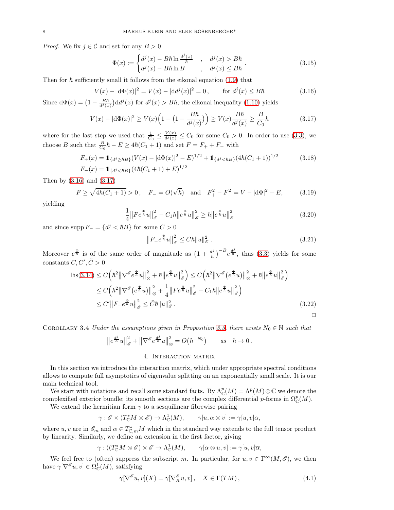*Proof.* We fix  $j \in \mathcal{C}$  and set for any  $B > 0$ 

<span id="page-7-5"></span>
$$
\Phi(x) := \begin{cases}\nd^j(x) - B\hbar \ln \frac{d^j(x)}{\hbar} & , \quad d^j(x) > B\hbar \\
d^j(x) - B\hbar \ln B & , \quad d^j(x) \le B\hbar\n\end{cases} \tag{3.15}
$$

Then for  $\hbar$  sufficiently small it follows from the eikonal equation [\(1.9\)](#page-2-2) that

<span id="page-7-0"></span>
$$
V(x) - |\mathrm{d}\Phi(x)|^2 = V(x) - |\mathrm{d}d^j(x)|^2 = 0, \qquad \text{for } d^j(x) \le B\hbar \tag{3.16}
$$

Since  $d\Phi(x) = \left(1 - \frac{B\hbar}{d^j(x)}\right) d d^j(x)$  for  $d^j(x) > B\hbar$ , the eikonal inequality [\(1.10\)](#page-2-3) yields

<span id="page-7-1"></span>
$$
V(x) - |\mathbf{d}\Phi(x)|^2 \ge V(x) \Big( 1 - \big( 1 - \frac{B\hbar}{d^j(x)} \big) \Big) \ge V(x) \frac{B\hbar}{d^j(x)} \ge \frac{B}{C_0} \hbar \tag{3.17}
$$

where for the last step we used that  $\frac{1}{C_0} \leq \frac{V(x)}{d^j(x)} \leq C_0$  for some  $C_0 > 0$ . In order to use [\(3.3\)](#page-5-4), we choose B such that  $\frac{B}{C_0}\hbar - E \geq 4\hbar(C_1 + 1)$  and set  $F = F_+ + F_-$  with

$$
F_{+}(x) = 1_{\{d^{j} \ge \hbar B\}} (V(x) - |\mathrm{d}\Phi(x)|^{2} - E)^{1/2} + 1_{\{d^{j} < \hbar B\}} (4\hbar (C_{1} + 1))^{1/2}
$$
(3.18)  

$$
F_{-}(x) = 1_{\{d^{j} < \hbar B\}} (4\hbar (C_{1} + 1) + E)^{1/2}
$$

Then by [\(3.16\)](#page-7-0) and [\(3.17\)](#page-7-1)

$$
F \ge \sqrt{4\hbar(C_1 + 1)} > 0, \quad F_- = O(\sqrt{\hbar}) \quad \text{and} \quad F_+^2 - F_-^2 = V - |\mathrm{d}\Phi|^2 - E,\tag{3.19}
$$

yielding

<span id="page-7-7"></span>
$$
\frac{1}{4} \left\| F e^{\frac{\Phi}{\hbar}} u \right\|_{\mathscr{E}}^2 - C_1 \hbar \| e^{\frac{\Phi}{\hbar}} u \|^2_{\mathscr{E}} \ge \hbar \| e^{\frac{\Phi}{\hbar}} u \|^2_{\mathscr{E}} \tag{3.20}
$$

and since supp  $F_-=\{d^j < \hbar B\}$  for some  $C>0$ 

<span id="page-7-6"></span>
$$
\left\|F_{-}e^{\frac{\Phi}{h}}u\right\|_{\mathscr{E}}^2 \le C\hbar\|u\|_{\mathscr{E}}^2.
$$
\n(3.21)

Moreover  $e^{\frac{\Phi}{\hbar}}$  is of the same order of magnitude as  $\left(1+\frac{d^j}{\hbar}\right)^{-B}e^{\frac{d^j}{\hbar}}$ , thus [\(3.3\)](#page-5-4) yields for some constants  $C, C', \tilde{C} > 0$ 

$$
\begin{split} \text{lls}(3.14) &\leq C\Big(\hbar^2 \big\|\nabla^{\mathscr{E}} e^{\frac{\Phi}{\hbar}} u\big\|_{\otimes}^2 + \hbar \big\|e^{\frac{\Phi}{\hbar}} u\big\|_{\mathscr{E}}^2\Big) \leq C\Big(\hbar^2 \big\|\nabla^{\mathscr{E}} \big(e^{\frac{\Phi}{\hbar}} u\big)\big\|_{\otimes}^2 + \hbar \big\|e^{\frac{\Phi}{\hbar}} u\big\|_{\mathscr{E}}^2\Big) \\ &\leq C\Big(\hbar^2 \big\|\nabla^{\mathscr{E}} \big(e^{\frac{\Phi}{\hbar}} u\big)\big\|_{\otimes}^2 + \frac{1}{4} \big\|F e^{\frac{\Phi}{\hbar}} u\big\|_{\mathscr{E}}^2 - C_1 \hbar \big\|e^{\frac{\Phi}{\hbar}} u\big\|_{\mathscr{E}}^2\Big) \\ &\leq C' \big\|F_- e^{\frac{\Phi}{\hbar}} u\big\|_{\mathscr{E}}^2 \leq \tilde{C} \hbar \|u\|_{\mathscr{E}}^2. \end{split} \tag{3.22}
$$

<span id="page-7-3"></span>COROLLARY 3.4 Under the assumptions given in Proposition [3.3,](#page-6-9) there exists  $N_0 \in \mathbb{N}$  such that

$$
\left\|e^{\frac{d^j}{\hbar}}u\right\|_{\mathscr{E}}^2 + \left\|\nabla^{\mathscr{E}}e^{\frac{d^j}{\hbar}}u\right\|_{\otimes}^2 = O(\hbar^{-N_0}) \qquad as \quad \hbar \to 0.
$$

# 4. Interaction matrix

<span id="page-7-4"></span>In this section we introduce the interaction matrix, which under appropriate spectral conditions allows to compute full asymptotics of eigenvalue splitting on an exponentially small scale. It is our main technical tool.

We start with notations and recall some standard facts. By  $\Lambda^p(\mathcal{M}) = \Lambda^p(\mathcal{M}) \otimes \mathbb{C}$  we denote the complexified exterior bundle; its smooth sections are the complex differential p-forms in  $\Omega^p_{\mathbb{C}}(M)$ .

We extend the hermitian form  $\gamma$  to a sesquilinear fibrewise pairing

$$
\gamma: \mathscr{E} \times (T_{\mathbb{C}}^* M \otimes \mathscr{E}) \to \Lambda_{\mathbb{C}}^1(M), \qquad \gamma[u, \alpha \otimes v] := \gamma[u, v] \alpha,
$$

where  $u, v$  are in  $\mathscr{E}_m$  and  $\alpha \in T_{\mathbb{C},m}^*M$  which in the standard way extends to the full tensor product by linearity. Similarly, we define an extension in the first factor, giving

$$
\gamma:((T_{\mathbb{C}}^*M\otimes\mathscr{E})\times\mathscr{E}\to\Lambda_{\mathbb{C}}^1(M),\qquad\gamma[\alpha\otimes u,v]:=\gamma[u,v]\overline{\alpha},
$$

We feel free to (often) suppress the subscript m. In particular, for  $u, v \in \Gamma^{\infty}(M, \mathscr{E})$ , we then have  $\gamma[\nabla^{\mathscr{E}} u, v] \in \Omega^1_{\mathbb{C}}(M)$ , satisfying

<span id="page-7-2"></span>
$$
\gamma[\nabla^{\mathscr{E}} u, v](X) = \gamma[\nabla_X^{\mathscr{E}} u, v], \quad X \in \Gamma(TM), \tag{4.1}
$$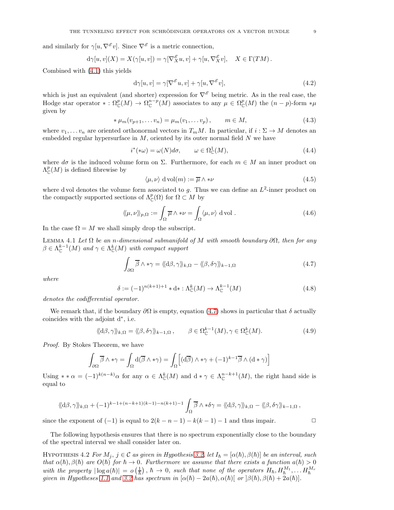and similarly for  $\gamma[u, \nabla^{\mathscr{E}} v]$ . Since  $\nabla^{\mathscr{E}}$  is a metric connection,

$$
d\gamma[u,v](X) = X(\gamma[u,v]) = \gamma[\nabla_X^{\mathscr{E}} u, v] + \gamma[u, \nabla_X^{\mathscr{E}} v], \quad X \in \Gamma(TM).
$$

Combined with [\(4.1\)](#page-7-2) this yields

<span id="page-8-4"></span>
$$
d\gamma[u,v] = \gamma[\nabla^{\mathscr{E}}u,v] + \gamma[u,\nabla^{\mathscr{E}}v],\tag{4.2}
$$

which is just an equivalent (and shorter) expression for  $\nabla^{\mathscr{E}}$  being metric. As in the real case, the Hodge star operator \*:  $\Omega_{\mathbb{C}}^p(M) \to \Omega_{\mathbb{C}}^{n-p}(M)$  associates to any  $\mu \in \Omega_{\mathbb{C}}^p(M)$  the  $(n-p)$ -form \* $\mu$ given by

$$
*\mu_m(v_{p+1},\dots v_n) = \mu_m(v_1,\dots v_p), \qquad m \in M,
$$
\n(4.3)

where  $v_1, \ldots v_n$  are oriented orthonormal vectors in  $T_m M$ . In particular, if  $i : \Sigma \to M$  denotes an embedded regular hypersurface in  $M$ , oriented by its outer normal field  $N$  we have

<span id="page-8-5"></span>
$$
i^*(*\omega) = \omega(N)d\sigma, \qquad \omega \in \Omega^1_{\mathbb{C}}(M), \tag{4.4}
$$

where  $d\sigma$  is the induced volume form on  $\Sigma$ . Furthermore, for each  $m \in M$  an inner product on  $\Lambda^p_{\mathbb{C}}(M)$  is defined fibrewise by

$$
\langle \mu, \nu \rangle \, \mathrm{d} \operatorname{vol}(m) := \overline{\mu} \wedge * \nu \tag{4.5}
$$

where d vol denotes the volume form associated to g. Thus we can define an  $L^2$ -inner product on the compactly supported sections of  $\Lambda^p_{\mathbb{C}}(\Omega)$  for  $\Omega \subset M$  by

$$
\langle\!\langle \mu, \nu \rangle\!\rangle_{p, \Omega} := \int_{\Omega} \overline{\mu} \wedge * \nu = \int_{\Omega} \langle \mu, \nu \rangle \, \text{d} \text{vol} . \tag{4.6}
$$

In the case  $\Omega = M$  we shall simply drop the subscript.

<span id="page-8-3"></span>LEMMA 4.1 Let  $\Omega$  be an n-dimensional submanifold of M with smooth boundary  $\partial\Omega$ , then for any  $\beta \in \Lambda_{\mathbb{C}}^{k-1}(M)$  and  $\gamma \in \Lambda_{\mathbb{C}}^{k}(M)$  with compact support

<span id="page-8-0"></span>
$$
\int_{\partial\Omega} \overline{\beta} \wedge * \gamma = \langle \langle d\beta, \gamma \rangle \rangle_{k,\Omega} - \langle \langle \beta, \delta \gamma \rangle \rangle_{k-1,\Omega}
$$
\n(4.7)

where

<span id="page-8-2"></span>
$$
\delta := (-1)^{n(k+1)+1} * d * : \Lambda^k_{\mathbb{C}}(M) \to \Lambda^{k-1}_{\mathbb{C}}(M)
$$
\n(4.8)

denotes the codifferential operator.

We remark that, if the boundary  $\partial\Omega$  is empty, equation [\(4.7\)](#page-8-0) shows in particular that  $\delta$  actually coincides with the adjoint d<sup>∗</sup> , i.e.

$$
\langle \langle d\beta, \gamma \rangle \rangle_{k,\Omega} = \langle \langle \beta, \delta\gamma \rangle \rangle_{k-1,\Omega}, \qquad \beta \in \Omega_{\mathbb{C}}^{k-1}(M), \gamma \in \Omega_{\mathbb{C}}^{k}(M). \tag{4.9}
$$

Proof. By Stokes Theorem, we have

$$
\int_{\partial\Omega} \overline{\beta} \wedge * \gamma = \int_{\Omega} d(\overline{\beta} \wedge * \gamma) = \int_{\Omega} \left[ (d\overline{\beta}) \wedge * \gamma + (-1)^{k-1} \overline{\beta} \wedge (d * \gamma) \right]
$$

Using \* \*  $\alpha = (-1)^{k(n-k)} \alpha$  for any  $\alpha \in \Lambda_{\mathbb{C}}^k(M)$  and  $d * \gamma \in \Lambda_{\mathbb{C}}^{n-k+1}(M)$ , the right hand side is equal to

$$
\langle \langle d\beta, \gamma \rangle \rangle_{k,\Omega} + (-1)^{k-1+(n-k+1)(k-1)-n(k+1)-1} \int_{\Omega} \overline{\beta} \wedge * \delta \gamma = \langle \langle d\beta, \gamma \rangle \rangle_{k,\Omega} - \langle \langle \beta, \delta \gamma \rangle \rangle_{k-1,\Omega},
$$

since the exponent of  $(-1)$  is equal to  $2(k - n - 1) - k(k - 1) - 1$  and thus impair.

The following hypothesis ensures that there is no spectrum exponentially close to the boundary of the spectral interval we shall consider later on.

<span id="page-8-1"></span>HYPOTHESIS 4.2 For  $M_j$ ,  $j \in \mathcal{C}$  as given in Hypothesis [3.2,](#page-6-7) let  $I_h = [\alpha(\hbar), \beta(\hbar)]$  be an interval, such that  $\alpha(\hbar), \beta(\hbar)$  are  $O(\hbar)$  for  $\hbar \to 0$ . Furthermore we assume that there exists a function  $a(\hbar) > 0$ with the property  $|\log a(\hbar)| = o(\frac{1}{\hbar})$ ,  $\hbar \to 0$ , such that none of the operators  $H_{\hbar}, H_{\hbar}^{M_1}, \dots H_{\hbar}^{M_r}$ <br>given in Hypotheses [1.1](#page-1-3) and [3.2](#page-6-7) has spectrum in  $[\alpha(\hbar) - 2a(\hbar), \alpha(\hbar)]$  or  $[\beta(\hbar), \beta(\hbar) + 2a(\hbar)]$ .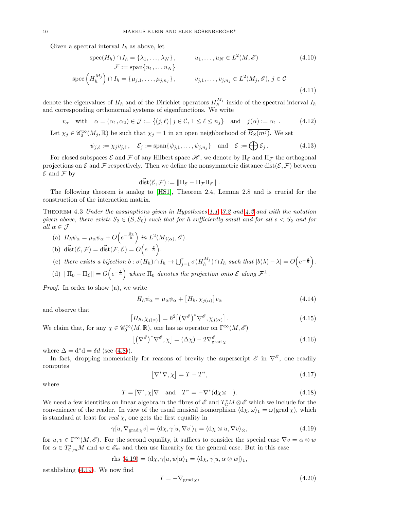Given a spectral interval  $I_{\hbar}$  as above, let

$$
\operatorname{spec}(H_{\hbar}) \cap I_{\hbar} = \{\lambda_1, \dots, \lambda_N\}, \qquad u_1, \dots, u_N \in L^2(M, \mathscr{E}) \tag{4.10}
$$
  

$$
\mathcal{F} := \operatorname{span}\{u_1, \dots u_N\}
$$
  

$$
\operatorname{spec}\left(H_{\hbar}^{M_j}\right) \cap I_{\hbar} = \{\mu_{j,1}, \dots, \mu_{j,n_j}\}, \qquad v_{j,1}, \dots, v_{j,n_j} \in L^2(M_j, \mathscr{E}), j \in \mathcal{C}
$$
  
(4.11)

denote the eigenvalues of  $H_{\hbar}$  and of the Dirichlet operators  $H_{\hbar}^{M_j}$  inside of the spectral interval  $I_{\hbar}$ and corresponding orthonormal systems of eigenfunctions. We write

$$
v_{\alpha} \quad \text{with} \quad \alpha = (\alpha_1, \alpha_2) \in \mathcal{J} := \{ (j, \ell) \mid j \in \mathcal{C}, 1 \le \ell \le n_j \} \quad \text{and} \quad j(\alpha) := \alpha_1 . \tag{4.12}
$$

Let  $\chi_j \in \mathscr{C}_0^{\infty}(M_j, \mathbb{R})$  be such that  $\chi_j = 1$  in an open neighborhood of  $\overline{B_S(m^j)}$ . We set

<span id="page-9-5"></span>
$$
\psi_{j,\ell} := \chi_j v_{j,\ell}, \quad \mathcal{E}_j := \text{span}\{\psi_{j,1}, \dots, \psi_{j,n_j}\} \quad \text{and} \quad \mathcal{E} := \bigoplus \mathcal{E}_j. \tag{4.13}
$$

For closed subspaces  $\mathcal E$  and  $\mathcal F$  of any Hilbert space  $\mathcal H$ , we denote by  $\Pi_{\mathcal E}$  and  $\Pi_{\mathcal F}$  the orthogonal projections on  $\mathcal E$  and  $\mathcal F$  respectively. Then we define the nonsymmetric distance dist( $\mathcal E, \mathcal F$ ) between  $\mathcal E$  and  $\mathcal F$  by

$$
\vec{\text{dist}}(\mathcal{E}, \mathcal{F}) := \|\Pi_{\mathcal{E}} - \Pi_{\mathcal{F}}\Pi_{\mathcal{E}}\|.
$$

The following theorem is analog to [\[HS1\]](#page-21-5), Theorem 2.4, Lemma 2.8 and is crucial for the construction of the interaction matrix.

<span id="page-9-4"></span>Theorem 4.3 Under the assumptions given in Hypotheses [1.1,](#page-1-3) [3.2](#page-6-7) and [4.2](#page-8-1) and with the notation given above, there exists  $S_2 \in (S, S_0)$  such that for  $\hbar$  sufficiently small and for all  $s < S_2$  and for all  $\alpha \in \mathcal{J}$ 

- (a)  $H_h \psi_\alpha = \mu_\alpha \psi_\alpha + O\left(e^{-\frac{S_2}{h}}\right)$  in  $L^2(M_{j(\alpha)}, \mathscr{E})$ .
- (b) dist $(\mathcal{E}, \mathcal{F}) = \text{dist}(\mathcal{F}, \mathcal{E}) = O\left(e^{-\frac{s}{\hbar}}\right).$
- (c) there exists a bijection  $b : \sigma(H_h) \cap I_h \to \bigcup_{j=1}^r \sigma(H_h^{M_j}) \cap I_h$  such that  $|b(\lambda) \lambda| = O(e^{-\frac{s}{h}})$ .
- (d)  $\|\Pi_0 \Pi_{\mathcal{E}}\| = O\left(e^{-\frac{s}{\hbar}}\right)$  where  $\Pi_0$  denotes the projection onto  $\mathcal{E}$  along  $\mathcal{F}^{\perp}$ .

Proof. In order to show (a), we write

<span id="page-9-3"></span>
$$
H_{\hbar}\psi_{\alpha} = \mu_{\alpha}\psi_{\alpha} + [H_{\hbar}, \chi_{j(\alpha)}]v_{\alpha}
$$
\n(4.14)

and observe that

$$
\left[H_{\hbar}, \chi_{j(\alpha)}\right] = \hbar^{2} \left[ \left(\nabla^{\mathscr{E}}\right)^{*} \nabla^{\mathscr{E}}, \chi_{j(\alpha)}\right].\tag{4.15}
$$
\n
$$
\mathscr{C}^{\infty}(M, \mathbb{R}) \text{ one has as operator on } \Gamma^{\infty}(M, \mathscr{E})
$$

We claim that, for any  $\chi \in \mathscr C^\infty_0(M,{\mathbb R}),$  one has as operator on  $\Gamma^\infty(M,\mathscr E)$ 

<span id="page-9-2"></span>
$$
\left[ \left( \nabla^{\mathscr{E}} \right)^* \nabla^{\mathscr{E}}, \chi \right] = \left( \Delta \chi \right) - 2 \nabla^{\mathscr{E}}_{\text{grad } \chi} \tag{4.16}
$$

where  $\Delta = d^*d = \delta d$  (see [\(4.8\)](#page-8-2)).

In fact, dropping momentarily for reasons of brevity the superscript  $\mathscr E$  in  $\nabla^{\mathscr E}$ , one readily computes

$$
\left[\nabla^*\nabla,\chi\right] = T - T^*,\tag{4.17}
$$

where

$$
T = [\nabla^*, \chi] \nabla \quad \text{and} \quad T^* = -\nabla^*(d\chi \otimes ). \tag{4.18}
$$

We need a few identities on linear algebra in the fibres of  $\mathscr E$  and  $T^*_{\mathbb C}M \otimes \mathscr E$  which we include for the convenience of the reader. In view of the usual musical isomorphism  $\langle dx, \omega \rangle_1 = \omega(\text{grad }\chi)$ , which is standard at least for real  $\chi$ , one gets the first equality in

<span id="page-9-0"></span>
$$
\gamma[u, \nabla_{\text{grad}\, \chi} v] = \langle \mathrm{d}\chi, \gamma[u, \nabla v] \rangle_1 = \langle \mathrm{d}\chi \otimes u, \nabla v \rangle_{\otimes},\tag{4.19}
$$

for  $u, v \in \Gamma^{\infty}(M, \mathscr{E})$ . For the second equality, it suffices to consider the special case  $\nabla v = \alpha \otimes w$ for  $\alpha \in T_{\mathbb{C},m}^*M$  and  $w \in \mathscr{E}_m$  and then use linearity for the general case. But in this case

$$
rhs (4.19) = \langle d\chi, \gamma[u, w]\alpha \rangle_1 = \langle d\chi, \gamma[u, \alpha \otimes w] \rangle_1,
$$

establishing [\(4.19\)](#page-9-0). We now find

<span id="page-9-1"></span>
$$
T = -\nabla_{\text{grad}\,\chi},\tag{4.20}
$$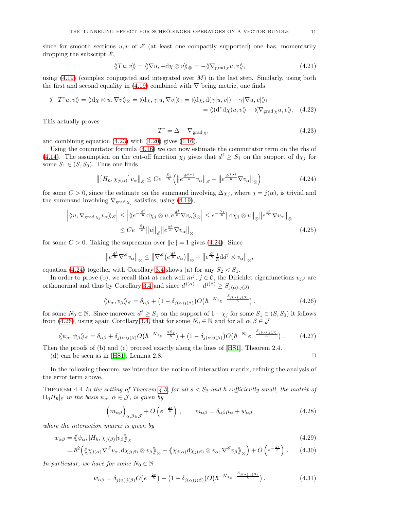since for smooth sections u, v of  $\mathscr E$  (at least one compactly supported) one has, momentarily dropping the subscript  $\mathscr{E}$ ,

$$
\langle T u, v \rangle = \langle \langle \nabla u, -\mathrm{d}\chi \otimes v \rangle \rangle \otimes = -\langle \langle \nabla_{\text{grad}\,\chi} u, v \rangle \rangle, \tag{4.21}
$$

using  $(4.19)$  (complex conjugated and integrated over M) in the last step. Similarly, using both the first and second equality in [\(4.19\)](#page-9-0) combined with  $\nabla$  being metric, one finds

$$
\langle \langle -T^*u, v \rangle \rangle = \langle \langle d\chi \otimes u, \nabla v \rangle \rangle_{\otimes} = \langle \langle d\chi, \gamma[u, \nabla v] \rangle \rangle_{1} = \langle \langle d\chi, d(\gamma[u, v]) - \gamma[\nabla u, v] \rangle \rangle_{1}
$$
  
=  $\langle \langle (d^*d\chi)u, v \rangle \rangle - \langle \langle \nabla_{\text{grad}\chi} u, v \rangle \rangle.$  (4.22)

This actually proves

<span id="page-10-0"></span>
$$
-T^* = \Delta - \nabla_{\text{grad}\,\chi},\tag{4.23}
$$

and combining equation [\(4.23\)](#page-10-0) with [\(4.20\)](#page-9-1) gives [\(4.16\)](#page-9-2).

Using the commutator formula [\(4.16\)](#page-9-2) we can now estimate the commutator term on the rhs of [\(4.14\)](#page-9-3). The assumption on the cut-off function  $\chi_j$  gives that  $d^j \geq S_1$  on the support of  $d\chi_j$  for some  $S_1 \in (S, S_0)$ . Thus one finds

<span id="page-10-1"></span>
$$
\left\| \left[H_{\hbar}, \chi_{j(\alpha)}\right] v_{\alpha} \right\|_{\mathscr{E}} \leq C e^{-\frac{S_1}{\hbar}} \left( \left\| e^{\frac{d^{j(\alpha)}}{\hbar}} v_{\alpha} \right\|_{\mathscr{E}} + \left\| e^{\frac{d^{j(\alpha)}}{\hbar}} \nabla v_{\alpha} \right\|_{\otimes} \right)
$$
(4.24)

for some  $C > 0$ , since the estimate on the summand involving  $\Delta \chi_j$ , where  $j = j(\alpha)$ , is trivial and the summand involving  $\nabla_{\text{grad } \chi_j}$  satisfies, using [\(4.19\)](#page-9-0),

$$
\left| \langle \langle u, \nabla_{\text{grad } \chi_j} v_\alpha \rangle \rangle_{\mathscr{E}} \right| \leq \left| \langle \langle e^{-\frac{d^j}{\hbar}} d\chi_j \otimes u, e^{\frac{d^j}{\hbar}} \nabla v_\alpha \rangle \rangle_{\mathscr{D}} \right| \leq e^{-\frac{S_1}{\hbar}} \left\| d\chi_j \otimes u \right\|_{\mathscr{D}} \left\| e^{\frac{d^j}{\hbar}} \nabla v_\alpha \right\|_{\mathscr{D}}
$$
  
 
$$
\leq C e^{-\frac{S_1}{\hbar}} \left\| u \right\|_{\mathscr{E}} \left\| e^{\frac{d^j}{\hbar}} \nabla v_\alpha \right\|_{\mathscr{D}}
$$
(4.25)

for some  $C > 0$ . Taking the supremum over  $||u|| = 1$  gives [\(4.24\)](#page-10-1). Since

$$
\left\|e^{\frac{d^j}{\hbar}}\nabla^{\mathscr{E}}v_{\alpha}\right\|_{\otimes}\leq \left\|\nabla^{\mathscr{E}}\left(e^{\frac{d^j}{\hbar}}v_{\alpha}\right)\right\|_{\otimes}+\left\|e^{\frac{d^j}{\hbar}}\frac{1}{\hbar}\mathrm{d} d^j\otimes v_{\alpha}\right\|_{\otimes},
$$

equation [\(4.24\)](#page-10-1) together with Corollary [3.4](#page-7-3) shows (a) for any  $S_2 < S_1$ .

In order to prove (b), we recall that at each well  $m^j$ ,  $j \in \mathcal{C}$ , the Dirichlet eigenfunctions  $v_{j,\ell}$  are orthonormal and thus by Corollary [3.4](#page-7-3) and since  $d^{j(\alpha)} + d^{j(\beta)} \geq S_{j(\alpha),j(\beta)}$ 

<span id="page-10-2"></span>
$$
\langle\langle v_{\alpha}, v_{\beta} \rangle\rangle_{\mathscr{E}} = \delta_{\alpha\beta} + \left(1 - \delta_{j(\alpha)j(\beta)}\right)O\left(\hbar^{-N_0}e^{-\frac{S_{j(\alpha),j(\beta)}}{\hbar}}\right). \tag{4.26}
$$

for some  $N_0 \in \mathbb{N}$ . Since moreover  $d^j \geq S_1$  on the support of  $1 - \chi_j$  for some  $S_1 \in (S, S_0)$  it follows from [\(4.26\)](#page-10-2), using again Corollary [3.4,](#page-7-3) that for some  $N_0 \in \mathbb{N}$  and for all  $\alpha, \beta \in \mathcal{J}$ 

<span id="page-10-3"></span>
$$
\langle\!\langle \psi_\alpha, \psi_\beta \rangle\!\rangle_{\mathscr{E}} = \delta_{\alpha\beta} + \delta_{j(\alpha)j(\beta)} O\big(\hbar^{-N_0} e^{-\frac{2S_1}{\hbar}}\big) + \big(1 - \delta_{j(\alpha)j(\beta)}\big) O\big(\hbar^{-N_0} e^{-\frac{S_{j(\alpha),j(\beta)}}{\hbar}}\big) \,. \tag{4.27}
$$

Then the proofs of (b) and (c) proceed exactly along the lines of [\[HS1\]](#page-21-5), Theorem 2.4.

(d) can be seen as in [\[HS1\]](#page-21-5), Lemma 2.8.  $\Box$ 

In the following theorem, we introduce the notion of interaction matrix, refining the analysis of the error term above.

THEOREM 4.4 In the setting of Theorem [4.3,](#page-9-4) for all  $s < S_2$  and  $\hbar$  sufficiently small, the matrix of  $\Pi_0H_{\hbar}|\varepsilon$  in the basis  $\psi_{\alpha}, \alpha \in \mathcal{J}$ , is given by

<span id="page-10-6"></span><span id="page-10-5"></span><span id="page-10-4"></span>
$$
\left(m_{\alpha\beta}\right)_{\alpha,\beta\in\mathcal{J}} + O\left(e^{-\frac{2s}{\hbar}}\right), \qquad m_{\alpha\beta} = \delta_{\alpha\beta}\mu_{\alpha} + w_{\alpha\beta} \tag{4.28}
$$

where the interaction matrix is given by

$$
w_{\alpha\beta} = \langle \psi_{\alpha}, [H_{\hbar}, \chi_{j(\beta)}] v_{\beta} \rangle_{\mathscr{E}}
$$
\n(4.29)

$$
= \hbar^2 \Big( \langle \chi_{j(\alpha)} \nabla^{\mathscr{E}} v_{\alpha}, \mathrm{d}\chi_{j(\beta)} \otimes v_{\beta} \rangle \otimes - \langle \chi_{j(\alpha)} \mathrm{d}\chi_{j(\beta)} \otimes v_{\alpha}, \nabla^{\mathscr{E}} v_{\beta} \rangle \otimes \Big) + O\left(e^{-\frac{2s}{\hbar}}\right). \tag{4.30}
$$

In particular, we have for some  $N_0 \in \mathbb{N}$ 

<span id="page-10-7"></span>
$$
w_{\alpha\beta} = \delta_{j(\alpha)j(\beta)}O(e^{-\frac{2s}{\hbar}}) + (1 - \delta_{j(\alpha)j(\beta)})O(\hbar^{-N_0}e^{-\frac{S_{j(\alpha),j(\beta)}}{\hbar}}). \tag{4.31}
$$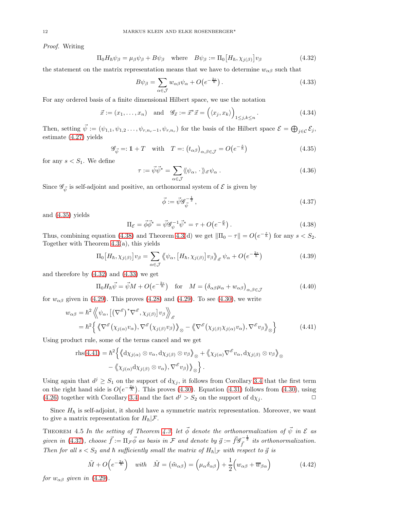Proof. Writing

<span id="page-11-2"></span>
$$
\Pi_0 H_{\hbar} \psi_{\beta} = \mu_{\beta} \psi_{\beta} + B \psi_{\beta} \quad \text{where} \quad B \psi_{\beta} := \Pi_0 \big[ H_{\hbar}, \chi_{j(\beta)} \big] v_{\beta} \tag{4.32}
$$

the statement on the matrix representation means that we have to determine  $w_{\alpha\beta}$  such that

<span id="page-11-3"></span>
$$
B\psi_{\beta} = \sum_{\alpha \in \mathcal{J}} w_{\alpha\beta} \psi_{\alpha} + O\left(e^{-\frac{2s}{\hbar}}\right). \tag{4.33}
$$

For any ordered basis of a finite dimensional Hilbert space, we use the notation

<span id="page-11-7"></span>
$$
\vec{x} := (x_1, \dots, x_n) \quad \text{and} \quad \mathscr{G}_{\vec{x}} := \vec{x}^* \vec{x} = \left( \langle x_j, x_k \rangle \right)_{1 \le j, k \le n}.
$$
 (4.34)

Then, setting  $\vec{\psi} := (\psi_{1,1}, \psi_{1,2} \dots, \psi_{r,n_r-1}, \psi_{r,n_r})$  for the basis of the Hilbert space  $\mathcal{E} = \bigoplus_{j \in \mathcal{C}} \mathcal{E}_j$ , estimate [\(4.27\)](#page-10-3) yields

<span id="page-11-0"></span>
$$
\mathcal{G}_{\vec{\psi}} =: 1 + T \quad \text{with} \quad T =: (t_{\alpha\beta})_{\alpha,\beta \in \mathcal{J}} = O(e^{-\frac{s}{\hbar}})
$$
\n(4.35)

for any  $s < S_1$ . We define

$$
\tau := \vec{\psi}\vec{\psi}^* = \sum_{\alpha \in \mathcal{J}} \langle \! \langle \psi_\alpha, \cdot \rangle \! \rangle_{\mathscr{E}} \psi_\alpha \,. \tag{4.36}
$$

Since  $\mathscr{G}_{\vec{\psi}}$  is self-adjoint and positive, an orthonormal system of  $\mathscr E$  is given by

<span id="page-11-5"></span><span id="page-11-4"></span>
$$
\vec{\phi} := \vec{\psi} \mathcal{G}_{\vec{\psi}}^{-\frac{1}{2}},\tag{4.37}
$$

and [\(4.35\)](#page-11-0) yields

<span id="page-11-1"></span>
$$
\Pi_{\mathcal{E}} = \vec{\phi}\vec{\phi}^* = \vec{\psi}\mathcal{G}_{\psi}^{-1}\vec{\psi}^* = \tau + O(e^{-\frac{\sigma}{\hbar}}). \tag{4.38}
$$

Thus, combining equation [\(4.38\)](#page-11-1) and Theorem [4.3\(](#page-9-4)d) we get  $\|\Pi_0 - \tau\| = O(e^{-\frac{s}{\hbar}})$  for any  $s < S_2$ . Together with Theorem [4.3\(](#page-9-4)a), this yields

$$
\Pi_0\left[H_{\hbar}, \chi_{j(\beta)}\right]v_{\beta} = \sum_{\alpha \in \mathcal{J}} \left\langle \psi_{\alpha}, \left[H_{\hbar}, \chi_{j(\beta)}\right]v_{\beta} \right\rangle_{\mathscr{E}} \psi_{\alpha} + O\left(e^{-\frac{2s}{\hbar}}\right) \tag{4.39}
$$

and therefore by [\(4.32\)](#page-11-2) and [\(4.33\)](#page-11-3) we get

<span id="page-11-6"></span>
$$
\Pi_0 H_{\hbar} \vec{\psi} = \vec{\psi} M + O(e^{-\frac{2s}{\hbar}}) \quad \text{for} \quad M = \left(\delta_{\alpha\beta}\mu_\alpha + w_{\alpha\beta}\right)_{\alpha,\beta \in \mathcal{J}} \tag{4.40}
$$

for  $w_{\alpha\beta}$  given in [\(4.29\)](#page-10-4). This proves [\(4.28\)](#page-10-5) and (4.29). To see [\(4.30\)](#page-10-6), we write

$$
w_{\alpha\beta} = \hbar^2 \left\langle \left\langle \psi_{\alpha}, \left[ \left( \nabla^{\mathscr{E}} \right)^* \nabla^{\mathscr{E}}, \chi_{j(\beta)} \right] v_{\beta} \right\rangle \right\rangle_{\mathscr{E}}
$$
  
= 
$$
\hbar^2 \left\{ \left\langle \left\langle \nabla^{\mathscr{E}} \left( \chi_{j(\alpha)} v_{\alpha} \right), \nabla^{\mathscr{E}} \left( \chi_{j(\beta)} v_{\beta} \right) \right\rangle_{\mathscr{E}} - \left\langle \nabla^{\mathscr{E}} \left( \chi_{j(\beta)} \chi_{j(\alpha)} v_{\alpha} \right), \nabla^{\mathscr{E}} v_{\beta} \right\rangle_{\mathscr{E}} \right\}
$$
(4.41)

Using product rule, some of the terms cancel and we get

$$
\text{rhs}(4.41) = \hbar^2 \Big\{ \langle \langle d\chi_{j(\alpha)} \otimes v_{\alpha}, d\chi_{j(\beta)} \otimes v_{\beta} \rangle_{\otimes} + \langle \chi_{j(\alpha)} \nabla^{\mathscr{E}} v_{\alpha}, d\chi_{j(\beta)} \otimes v_{\beta} \rangle_{\otimes} - \langle \chi_{j(\alpha)} d\chi_{j(\beta)} \otimes v_{\alpha}, \nabla^{\mathscr{E}} v_{\beta} \rangle_{\otimes} \Big\}.
$$

Using again that  $d^j \geq S_1$  on the support of  $d\chi_j$ , it follows from Corollary [3.4](#page-7-3) that the first term on the right hand side is  $O(e^{-\frac{2s}{\hbar}})$ . This proves [\(4.30\)](#page-10-6). Equation [\(4.31\)](#page-10-7) follows from (4.30), using [\(4.26\)](#page-10-2) together with Corollary [3.4](#page-7-3) and the fact  $d^j > S_2$  on the support of  $d\chi_j$ .

Since  $H<sub>h</sub>$  is self-adjoint, it should have a symmetric matrix representation. Moreover, we want to give a matrix representation for  $H_{\hbar}|\mathcal{F}$ .

<span id="page-11-8"></span>THEOREM 4.5 In the setting of Theorem [4.3,](#page-9-4) let  $\vec{\phi}$  denote the orthonormalization of  $\vec{\psi}$  in  $\mathcal E$  as given in [\(4.37\)](#page-11-5), choose  $\vec{f} := \Pi_{\mathcal{F}} \vec{\phi}$  as basis in  $\mathcal{F}$  and denote by  $\vec{g} := \vec{f} \mathscr{G}_{\vec{f}}^{-\frac{1}{2}}$  its orthonormalization. Then for all  $s < S_2$  and  $\hbar$  sufficiently small the matrix of  $H_{\hbar}|_{\mathcal{F}}$  with respect to  $\vec{g}$  is

$$
\tilde{M} + O\left(e^{-\frac{2s}{\hbar}}\right) \quad with \quad \tilde{M} = \left(\tilde{m}_{\alpha\beta}\right) = \left(\mu_{\alpha}\delta_{\alpha\beta}\right) + \frac{1}{2}\left(w_{\alpha\beta} + \overline{w}_{\beta\alpha}\right) \tag{4.42}
$$

for  $w_{\alpha\beta}$  given in [\(4.29\)](#page-10-4).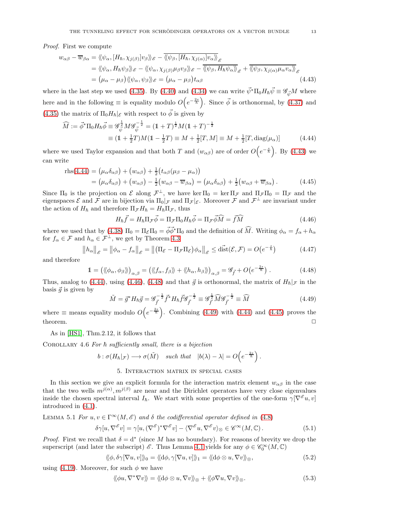Proof. First we compute

$$
w_{\alpha\beta} - \overline{w}_{\beta\alpha} = \langle \langle \psi_{\alpha}, [H_{\hbar}, \chi_{j(\beta)}] \psi_{\beta} \rangle_{\mathscr{E}} - \langle \langle \psi_{\beta}, [H_{\hbar}, \chi_{j(\alpha)}] \psi_{\alpha} \rangle_{\mathscr{E}}
$$
  
\n
$$
= \langle \langle \psi_{\alpha}, H_{\hbar} \psi_{\beta} \rangle_{\mathscr{E}} - \langle \langle \psi_{\alpha}, \chi_{j(\beta)} \mu_{\beta} \psi_{\beta} \rangle_{\mathscr{E}} - \langle \langle \psi_{\beta}, H_{\hbar} \psi_{\alpha} \rangle_{\mathscr{E}} + \langle \langle \psi_{\beta}, \chi_{j(\alpha)} \mu_{\alpha} \psi_{\alpha} \rangle_{\mathscr{E}}
$$
  
\n
$$
= (\mu_{\alpha} - \mu_{\beta}) \langle \langle \psi_{\alpha}, \psi_{\beta} \rangle_{\mathscr{E}} = (\mu_{\alpha} - \mu_{\beta}) t_{\alpha\beta} \qquad (4.43)
$$

where in the last step we used [\(4.35\)](#page-11-0). By [\(4.40\)](#page-11-6) and [\(4.34\)](#page-11-7) we can write  $\vec{\psi}^* \Pi_0 H_{\hbar} \vec{\psi} \equiv \mathscr{G}_{\vec{\psi}} M$  where here and in the following  $\equiv$  is equality modulo  $O(e^{-\frac{2s}{\hbar}})$ . Since  $\vec{\phi}$  is orthonormal, by [\(4.37\)](#page-11-5) and [\(4.35\)](#page-11-0) the matrix of  $\Pi_0 H_{\hbar}|\varepsilon$  with respect to  $\vec{\phi}$  is given by

$$
\widehat{M} := \vec{\phi}^* \Pi_0 H_h \vec{\phi} \equiv \mathcal{G}_{\vec{\psi}}^{\frac{1}{2}} M \mathcal{G}_{\vec{\psi}}^{-\frac{1}{2}} = (1+T)^{\frac{1}{2}} M (1+T)^{-\frac{1}{2}}
$$
  
\n
$$
\equiv (1+\frac{1}{2}T) M (1-\frac{1}{2}T) \equiv M + \frac{1}{2}[T, M] \equiv M + \frac{1}{2}[T, \text{diag}(\mu_\alpha)] \tag{4.44}
$$

where we used Taylor expansion and that both T and  $(w_{\alpha\beta})$  are of order  $O(e^{-\frac{s}{\hbar}})$ . By [\(4.43\)](#page-12-0) we can write

$$
\begin{split} \text{rhs}(4.44) &= \left(\mu_{\alpha}\delta_{\alpha\beta}\right) + \left(w_{\alpha\beta}\right) + \frac{1}{2}\left(t_{\alpha\beta}\left(\mu_{\beta} - \mu_{\alpha}\right)\right) \\ &= \left(\mu_{\alpha}\delta_{\alpha\beta}\right) + \left(w_{\alpha\beta}\right) - \frac{1}{2}\left(w_{\alpha\beta} - \overline{w}_{\beta\alpha}\right) = \left(\mu_{\alpha}\delta_{\alpha\beta}\right) + \frac{1}{2}\left(w_{\alpha\beta} + \overline{w}_{\beta\alpha}\right). \end{split} \tag{4.45}
$$

Since  $\Pi_0$  is the projection on E along  $\mathcal{F}^{\perp}$ , we have ker  $\Pi_0 = \ker \Pi_{\mathcal{F}}$  and  $\Pi_{\mathcal{F}} \Pi_0 = \Pi_{\mathcal{F}}$  and the eigenspaces  $\mathcal E$  and  $\mathcal F$  are in bijection via  $\Pi_0|_{\mathcal F}$  and  $\Pi_{\mathcal F}|_{\mathcal E}$ . Moreover  $\mathcal F$  and  $\mathcal F^{\perp}$  are invariant under the action of  $H_{\hbar}$  and therefore  $\Pi_{\mathcal{F}}H_{\hbar} = H_{\hbar}\Pi_{\mathcal{F}}$ , thus

<span id="page-12-5"></span><span id="page-12-2"></span><span id="page-12-1"></span><span id="page-12-0"></span>
$$
H_{\hbar}\vec{f} = H_{\hbar}\Pi_{\mathcal{F}}\vec{\phi} = \Pi_{\mathcal{F}}\Pi_0 H_{\hbar}\vec{\phi} = \Pi_{\mathcal{F}}\vec{\phi}\widehat{M} = \vec{f}\widehat{M}
$$
(4.46)

where we used that by [\(4.38\)](#page-11-1)  $\Pi_0 = \Pi_{\mathcal{E}} \Pi_0 = \vec{\phi} \vec{\phi}^* \Pi_0$  and the definition of  $\widehat{M}$ . Writing  $\phi_\alpha = f_\alpha + h_\alpha$ for  $f_{\alpha} \in \mathcal{F}$  and  $h_{\alpha} \in \mathcal{F}^{\perp}$ , we get by Theorem [4.3](#page-9-4)

$$
||h_{\alpha}||_{\mathcal{E}} = ||\phi_{\alpha} - f_{\alpha}||_{\mathcal{E}} = ||(\Pi_{\mathcal{E}} - \Pi_{\mathcal{F}}\Pi_{\mathcal{E}})\phi_{\alpha}||_{\mathcal{E}} \leq \text{dist}(\mathcal{E}, \mathcal{F}) = O(e^{-\frac{s}{\hbar}})
$$
(4.47)

and therefore

<span id="page-12-3"></span>
$$
\mathbb{1} = \left( \langle \phi_{\alpha}, \phi_{\beta} \rangle \rangle \right)_{\alpha, \beta} = \left( \langle \langle f_{\alpha}, f_{\beta} \rangle \rangle + \langle \langle h_{\alpha}, h_{\beta} \rangle \rangle \right)_{\alpha, \beta} = \mathscr{G}_{\vec{f}} + O(e^{-\frac{2s}{\hbar}}) \,. \tag{4.48}
$$

Thus, analog to [\(4.44\)](#page-12-1), using [\(4.46\)](#page-12-2), [\(4.48\)](#page-12-3) and that  $\vec{g}$  is orthonormal, the matrix of  $H_h|_{\mathcal{F}}$  in the basis  $\vec{g}$  is given by

<span id="page-12-4"></span>
$$
\tilde{M} = \vec{g}^* H_{\hbar} \vec{g} = \mathcal{G}_{\vec{f}}^{-\frac{1}{2}} \vec{f}^* H_{\hbar} \vec{f} \mathcal{G}_{\vec{f}}^{-\frac{1}{2}} \equiv \mathcal{G}_{\vec{f}}^{\frac{1}{2}} \widehat{M} \mathcal{G}_{\vec{f}}^{-\frac{1}{2}} \equiv \widehat{M}
$$
\n(4.49)

where  $\equiv$  means equality modulo  $O(e^{-\frac{2s}{\hbar}})$ . Combining [\(4.49\)](#page-12-4) with [\(4.44\)](#page-12-1) and [\(4.45\)](#page-12-5) proves the theorem.  $\Box$ 

As in [\[HS1\]](#page-21-5), Thm.2.12, it follows that

<span id="page-12-10"></span>COROLLARY 4.6 For  $\hbar$  sufficiently small, there is a bijection

$$
b: \sigma(H_{\hbar}|_{\mathcal{F}}) \longrightarrow \sigma(\tilde{M}) \quad \text{ such that} \quad |b(\lambda)-\lambda| = O\Big(e^{-\frac{2s}{\hbar}}\Big)\,.
$$

# 5. Interaction matrix in special cases

<span id="page-12-9"></span>In this section we give an explicit formula for the interaction matrix element  $w_{\alpha\beta}$  in the case that the two wells  $m^{j(\alpha)}$ ,  $m^{j(\beta)}$  are near and the Dirichlet operators have very close eigenvalues inside the chosen spectral interval  $I_{\hbar}$ . We start with some properties of the one-form  $\gamma[\nabla^{\mathscr{E}} u, v]$ introduced in [\(4.1\)](#page-7-2).

LEMMA 5.1 For  $u, v \in \Gamma^{\infty}(M, \mathscr{E})$  and  $\delta$  the codifferential operator defined in [\(4.8\)](#page-8-2)

<span id="page-12-8"></span>
$$
\delta \gamma[u, \nabla^{\mathscr{E}} v] = \gamma[u, (\nabla^{\mathscr{E}})^* \nabla^{\mathscr{E}} v] - \langle \nabla^{\mathscr{E}} u, \nabla^{\mathscr{E}} v \rangle_{\otimes} \in \mathscr{C}^{\infty}(M, \mathbb{C}).
$$
\n(5.1)

*Proof.* First we recall that  $\delta = d^*$  (since M has no boundary). For reasons of brevity we drop the superscript (and later the subscript)  $\mathscr{E}$ . Thus Lemma [4.1](#page-8-3) yields for any  $\phi \in \mathscr{C}_0^{\infty}(M, \mathbb{C})$ 

<span id="page-12-6"></span>
$$
\langle \langle \phi, \delta \gamma [\nabla u, v] \rangle \rangle_0 = \langle \langle d\phi, \gamma [\nabla u, v] \rangle \rangle_1 = \langle \langle d\phi \otimes u, \nabla v \rangle \rangle_0,
$$
(5.2)

using [\(4.19\)](#page-9-0). Moreover, for such  $\phi$  we have

<span id="page-12-7"></span>
$$
\langle \langle \phi u, \nabla^* \nabla v \rangle \rangle = \langle \langle d\phi \otimes u, \nabla v \rangle \rangle \otimes + \langle \langle \phi \nabla u, \nabla v \rangle \rangle \otimes. \tag{5.3}
$$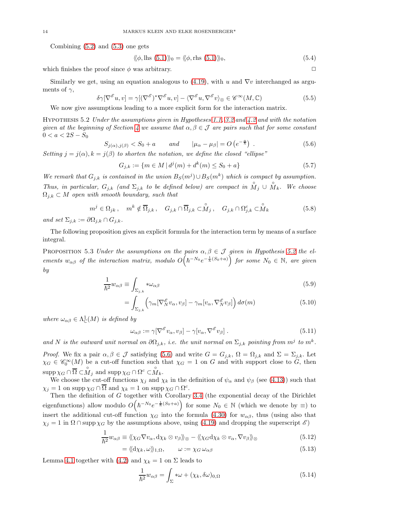Combining  $(5.2)$  and  $(5.3)$  one gets

$$
\langle \langle \phi, \text{lls (5.1)} \rangle \rangle_0 = \langle \langle \phi, \text{rls (5.1)} \rangle \rangle_0, \tag{5.4}
$$

which finishes the proof since  $\phi$  was arbitrary.

Similarly we get, using an equation analogous to [\(4.19\)](#page-9-0), with u and  $\nabla v$  interchanged as arguments of  $\gamma$ ,

<span id="page-13-4"></span>
$$
\delta \gamma [\nabla^{\mathscr{E}} u, v] = \gamma [(\nabla^{\mathscr{E}})^* \nabla^{\mathscr{E}} u, v] - \langle \nabla^{\mathscr{E}} u, \nabla^{\mathscr{E}} v \rangle_{\otimes} \in \mathscr{C}^{\infty}(M, \mathbb{C})
$$
(5.5)

We now give assumptions leading to a more explicit form for the interaction matrix.

<span id="page-13-0"></span>HYPOTHESIS 5.2 Under the assumptions given in Hypotheses [1.1,](#page-1-3) [3.2](#page-6-7) and  $\mu$ . 2 and with the notation given at the beginning of Section [4](#page-7-4) we assume that  $\alpha, \beta \in \mathcal{J}$  are pairs such that for some constant  $0 < a < 2S - S_0$ 

<span id="page-13-1"></span>
$$
S_{j(\alpha),j(\beta)} < S_0 + a \qquad \text{and} \qquad |\mu_\alpha - \mu_\beta| = O\left(e^{-\frac{\alpha}{\hbar}}\right) \tag{5.6}
$$

Setting  $j = j(\alpha)$ ,  $k = j(\beta)$  to shorten the notation, we define the closed "ellipse"

$$
G_{j,k} := \{ m \in M \mid d^j(m) + d^k(m) \le S_0 + a \}
$$
\n<sup>(5.7)</sup>

We remark that  $G_{j,k}$  is contained in the union  $B_S(m^j) \cup B_S(m^k)$  which is compact by assumption. Thus, in particular,  $G_{j,k}$  (and  $\Sigma_{j,k}$  to be defined below) are compact in  $\overset{\circ}{M}_{j} \cup \overset{\circ}{M}_{k}$ . We choose  $\Omega_{j,k} \subset M$  open with smooth boundary, such that

$$
m^{j} \in \Omega_{jk}, \quad m^{k} \notin \overline{\Omega}_{j,k}, \quad G_{j,k} \cap \overline{\Omega}_{j,k} \subset \overset{\circ}{M}_{j}, \quad G_{j,k} \cap \Omega_{j,k}^{c} \subset \overset{\circ}{M}_{k} \tag{5.8}
$$

and set  $\Sigma_{j,k} := \partial \Omega_{j,k} \cap G_{j,k}.$ 

The following proposition gives an explicit formula for the interaction term by means of a surface integral.

<span id="page-13-6"></span>PROPOSITION 5.3 Under the assumptions on the pairs  $\alpha, \beta \in \mathcal{J}$  given in Hypothesis [5.2](#page-13-0) the elements  $w_{\alpha\beta}$  of the interaction matrix, modulo  $O(\hbar^{-N_0}e^{-\frac{1}{\hbar}(S_0+a)})$  for some  $N_0 \in \mathbb{N}$ , are given by

$$
\frac{1}{\hbar^2} w_{\alpha\beta} \equiv \int_{\Sigma_{j,k}} * \omega_{\alpha\beta} \tag{5.9}
$$

$$
= \int_{\Sigma_{j,k}} \left( \gamma_m [\nabla_N^{\mathscr{E}} v_\alpha, v_\beta] - \gamma_m [v_\alpha, \nabla_N^{\mathscr{E}} v_\beta] \right) d\sigma(m) \tag{5.10}
$$

where  $\omega_{\alpha\beta} \in \Lambda^1_{\mathbb{C}}(M)$  is defined by

<span id="page-13-5"></span><span id="page-13-3"></span>
$$
\omega_{\alpha\beta} := \gamma [\nabla^{\mathscr{E}} v_{\alpha}, v_{\beta}] - \gamma [v_{\alpha}, \nabla^{\mathscr{E}} v_{\beta}]. \qquad (5.11)
$$

and N is the outward unit normal on  $\partial\Omega_{j,k}$ , i.e. the unit normal on  $\Sigma_{j,k}$  pointing from  $m^j$  to  $m^k$ .

*Proof.* We fix a pair  $\alpha, \beta \in \mathcal{J}$  satisfying [\(5.6\)](#page-13-1) and write  $G = G_{j,k}, \Omega = \Omega_{j,k}$  and  $\Sigma = \Sigma_{j,k}$ . Let  $\chi_G \in \mathscr{C}_0^{\infty}(M)$  be a cut-off function such that  $\chi_G = 1$  on G and with support close to G, then  $\operatorname{supp} \chi_G \cap \overline{\Omega} \subset \stackrel{\circ}{M}_j$  and  $\operatorname{supp} \chi_G \cap \Omega^c \subset \stackrel{\circ}{M}_k$ .

We choose the cut-off functions  $\chi_j$  and  $\chi_k$  in the definition of  $\psi_\alpha$  and  $\psi_\beta$  (see [\(4.13\)](#page-9-5)) such that  $\chi_j = 1$  on supp  $\chi_G \cap \overline{\Omega}$  and  $\chi_k = 1$  on supp  $\chi_G \cap \Omega^c$ .

Then the definition of G together with Corollary [3.4](#page-7-3) (the exponential decay of the Dirichlet eigenfunctions) allow modulo  $O(n^{-N_0}e^{-\frac{1}{h}(S_0+a)})$  for some  $N_0 \in \mathbb{N}$  (which we denote by  $\equiv$ ) to insert the additional cut-off function  $\chi_G$  into the formula [\(4.30\)](#page-10-6) for  $w_{\alpha\beta}$ , thus (using also that  $\chi_j = 1$  in  $\Omega \cap \text{supp}\chi_G$  by the assumptions above, using [\(4.19\)](#page-9-0) and dropping the superscript  $\mathscr{E}$ )

$$
\frac{1}{\hbar^2} w_{\alpha\beta} \equiv \langle \langle \chi_G \nabla v_\alpha, \mathrm{d}\chi_k \otimes v_\beta \rangle \rangle \otimes - \langle \langle \chi_G \mathrm{d}\chi_k \otimes v_\alpha, \nabla v_\beta \rangle \rangle \otimes \tag{5.12}
$$

 $=\langle \langle d\chi_k, \omega \rangle \rangle_{1,\Omega}, \qquad \omega := \chi_G \,\omega_{\alpha\beta}$  (5.13)

Lemma [4.1](#page-8-3) together with [\(4.2\)](#page-8-4) and  $\chi_k = 1$  on  $\Sigma$  leads to

<span id="page-13-2"></span>
$$
\frac{1}{\hbar^2} w_{\alpha\beta} = \int_{\Sigma} * \omega + (\chi_k, \delta \omega)_{0,\Omega}
$$
 (5.14)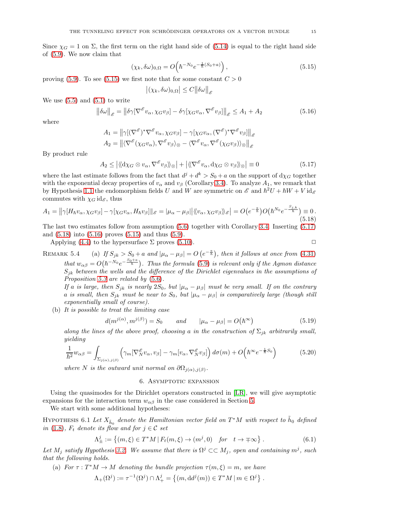Since  $\chi_G = 1$  on  $\Sigma$ , the first term on the right hand side of [\(5.14\)](#page-13-2) is equal to the right hand side of [\(5.9\)](#page-13-3). We now claim that

<span id="page-14-0"></span>
$$
(\chi_k, \delta \omega)_{0,\Omega} = O\left(\hbar^{-N_0} e^{-\frac{1}{\hbar}(S_0 + a)}\right),\tag{5.15}
$$

proving [\(5.9\)](#page-13-3). To see [\(5.15\)](#page-14-0) we first note that for some constant  $C > 0$ 

$$
\left| (\chi_k,\delta \omega)_{0,\Omega}\right|\leq C \big\|\delta \omega\big\|_{\mathscr{E}}
$$

We use  $(5.5)$  and  $(5.1)$  to write

<span id="page-14-3"></span>
$$
\left\|\delta\omega\right\|_{\mathscr{E}} = \left\|\delta\gamma[\nabla^{\mathscr{E}}v_{\alpha}, \chi_{G}v_{\beta}] - \delta\gamma[\chi_{G}v_{\alpha}, \nabla^{\mathscr{E}}v_{\beta}]\right\|_{\mathscr{E}} \le A_{1} + A_{2}
$$
\n(5.16)

where

$$
A_1 = \left\| \gamma [(\nabla^\mathscr{E})^* \nabla^\mathscr{E} v_\alpha, \chi_G v_\beta] - \gamma [\chi_G v_\alpha, (\nabla^\mathscr{E})^* \nabla^\mathscr{E} v_\beta] \right\|_{\mathscr{E}}
$$
  

$$
A_2 = \left\| \langle \nabla^\mathscr{E} (\chi_G v_\alpha), \nabla^\mathscr{E} v_\beta \rangle_\otimes - \langle \nabla^\mathscr{E} v_\alpha, \nabla^\mathscr{E} (\chi_G v_\beta) \rangle_\otimes \right\|_{\mathscr{E}}
$$

By product rule

<span id="page-14-1"></span>
$$
A_2 \le |\langle \langle \mathrm{d}\chi_G \otimes v_\alpha, \nabla^{\mathscr{E}} v_\beta \rangle \rangle_{\otimes}| + |\langle \nabla^{\mathscr{E}} v_\alpha, \mathrm{d}\chi_G \otimes v_\beta \rangle \rangle_{\otimes}| \equiv 0 \tag{5.17}
$$

where the last estimate follows from the fact that  $d^{j} + d^{k} > S_0 + a$  on the support of  $d\chi_G$  together with the exponential decay properties of  $v_\alpha$  and  $v_\beta$  (Corollary [3.4\)](#page-7-3). To analyze  $A_1$ , we remark that by Hypothesis [1.1](#page-1-3) the endomorphism fields U and W are symmetric on  $\mathscr E$  and  $\hbar^2 U + \hbar W + V \, id_{\mathscr E}$ commutes with  $\chi_G \mathrm{id}_{\mathscr{E}}$ , thus

<span id="page-14-2"></span>
$$
A_1 = \left\| \gamma[H_{\hbar}v_{\alpha}, \chi_G v_{\beta}] - \gamma[\chi_G v_{\alpha}, H_{\hbar}v_{\beta}] \right\|_{\mathscr{E}} = \left| \mu_{\alpha} - \mu_{\beta} \right| \left\langle \langle v_{\alpha}, \chi_G v_{\beta} \rangle \right\rangle_{\mathscr{E}} = O(e^{-\frac{a}{\hbar}})O(\hbar^{N_0} e^{-\frac{S_{j,k}}{\hbar}}) \equiv 0. \tag{5.18}
$$

The last two estimates follow from assumption [\(5.6\)](#page-13-1) together with Corollary [3.4.](#page-7-3) Inserting [\(5.17\)](#page-14-1) and [\(5.18\)](#page-14-2) into [\(5.16\)](#page-14-3) proves [\(5.15\)](#page-14-0) and thus [\(5.9\)](#page-13-3).

Applying [\(4.4\)](#page-8-5) to the hypersurface  $\Sigma$  proves [\(5.10\)](#page-13-5).  $\square$ 

REMARK 5.4 (a) If  $S_{jk} > S_0 + a$  and  $|\mu_\alpha - \mu_\beta| = O(e^{-\frac{a}{h}})$ , then it follows at once from [\(4.31\)](#page-10-7) that  $w_{\alpha\beta} = O(\hbar^{-N_0}e^{-\frac{S_0+\alpha}{\hbar}})$ . Thus the formula [\(5.9\)](#page-13-3) is relevant only if the Agmon distance  $S_{jk}$  between the wells and the difference of the Dirichlet eigenvalues in the assumptions of Proposition [5.3](#page-13-6) are related by [\(5.6\)](#page-13-1).

If a is large, then  $S_{jk}$  is nearly  $2S_0$ , but  $|\mu_\alpha - \mu_\beta|$  must be very small. If on the contrary a is small, then  $S_{jk}$  must be near to  $S_0$ , but  $|\mu_\alpha - \mu_\beta|$  is comparatively large (though still exponentially small of course).

(b) It is possible to treat the limiting case

<span id="page-14-7"></span>
$$
d(m^{j(\alpha)}, m^{j(\beta)}) = S_0 \qquad and \qquad |\mu_{\alpha} - \mu_{\beta}| = O(\hbar^{\infty})
$$
 (5.19)

along the lines of the above proof, choosing a in the construction of  $\Sigma_{jk}$  arbitrarily small, yielding

<span id="page-14-6"></span>
$$
\frac{1}{\hbar^2} w_{\alpha\beta} = \int_{\Sigma_{j(\alpha),j(\beta)}} \left( \gamma_m [\nabla_N^{\mathscr{E}} v_\alpha, v_\beta] - \gamma_m [v_\alpha, \nabla_N^{\mathscr{E}} v_\beta] \right) d\sigma(m) + O\left(\hbar^{\infty} e^{-\frac{1}{\hbar} S_0}\right)
$$
(5.20)

where N is the outward unit normal on  $\partial\Omega_{j(\alpha),j(\beta)}$ .

### 6. ASYMPTOTIC EXPANSION

Using the quasimodes for the Dirichlet operators constructed in [\[LR\]](#page-22-1), we will give asymptotic expansions for the interaction term  $w_{\alpha\beta}$  in the case considered in Section [5.](#page-12-9)

We start with some additional hypotheses:

<span id="page-14-5"></span>HYPOTHESIS 6.1 Let  $X_{\tilde{h}_0}$  denote the Hamiltonian vector field on  $T^*M$  with respect to  $\tilde{h}_0$  defined in [\(1.8\)](#page-2-4),  $F_t$  denote its flow and for  $j \in \mathcal{C}$  set

<span id="page-14-4"></span>
$$
\Lambda^j_{\pm} := \left\{ (m,\xi) \in T^*M \, | \, F_t(m,\xi) \to (m^j,0) \quad \text{for} \quad t \to \mp \infty \right\}. \tag{6.1}
$$

Let  $M_j$  satisfy Hypothesis [3.2.](#page-6-7) We assume that there is  $\Omega^j \subset\subset M_j$ , open and containing  $m^j$ , such that the following holds.

(a) For  $\tau : T^*M \to M$  denoting the bundle projection  $\tau(m,\xi) = m$ , we have

$$
\Lambda_+(\Omega^j):=\tau^{-1}(\Omega^j)\cap \Lambda^j_+=\left\{(m,\mathrm d d^j(m))\in T^*M\,|\,m\in\Omega^j\right\}\,.
$$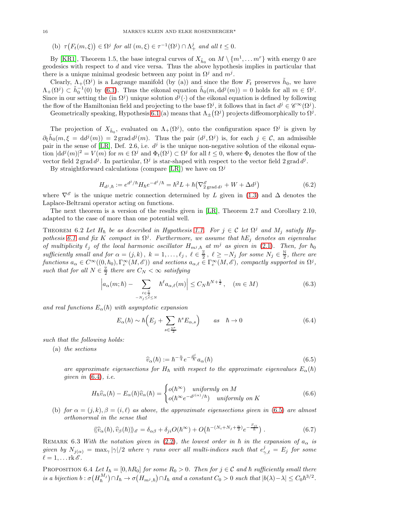(b)  $\tau(F_t(m,\xi)) \in \Omega^j$  for all  $(m,\xi) \in \tau^{-1}(\Omega^j) \cap \Lambda^j_+$  and all  $t \leq 0$ .

By [\[KR1\]](#page-22-2), Theorem 1.5, the base integral curves of  $X_{\tilde{h}_0}$  on  $M \setminus \{m^1, \ldots m^r\}$  with energy 0 are geodesics with respect to  $d$  and vice versa. Thus the above hypothesis implies in particular that there is a unique minimal geodesic between any point in  $\Omega^j$  and  $m^j$ .

Clearly,  $\Lambda_+(\Omega^j)$  is a Lagrange manifold (by (a)) and since the flow  $F_t$  preserves  $\tilde{h}_0$ , we have  $\Lambda_{+}(\Omega^j) \subset \tilde{h}_0^{-1}(0)$  by [\(6.1\)](#page-14-4). Thus the eikonal equation  $\tilde{h}_0(m, dd^j(m)) = 0$  holds for all  $m \in \Omega^j$ . Since in our setting the (in  $\Omega^{j}$ ) unique solution  $d^{j}(\cdot)$  of the eikonal equation is defined by following the flow of the Hamiltonian field and projecting to the base  $\Omega^j$ , it follows that in fact  $d^j \in \mathscr{C}^{\infty}(\Omega^j)$ .

Geometrically speaking, Hypothesis [6.1](#page-14-5) (a) means that  $\Lambda_{\pm}(\Omega^j)$  projects diffeomorphically to  $\Omega^j$ .

The projection of  $X_{\tilde{h}_0}$ , evaluated on  $\Lambda_+(\Omega^j)$ , onto the configuration space  $\Omega^j$  is given by  $\partial_{\xi} \tilde{h}_0(m,\xi = dd^j(m)) = 2 \operatorname{grad} d^j(m)$ . Thus the pair  $(d^j, \Omega^j)$  is, for each  $j \in \mathcal{C}$ , an admissible pair in the sense of [\[LR\]](#page-22-1), Def. 2.6, i.e.  $d<sup>j</sup>$  is the unique non-negative solution of the eikonal equation  $|dd^j(m)|^2 = V(m)$  for  $m \in \Omega^j$  and  $\Phi_t(\Omega^j) \subset \Omega^j$  for all  $t \leq 0$ , where  $\Phi_t$  denotes the flow of the vector field  $2 \text{ grad } d^j$ . In particular,  $\Omega^j$  is star-shaped with respect to the vector field  $2 \text{ grad } d^j$ .

By straightforward calculations (compare [\[LR\]](#page-22-1)) we have on  $\Omega^{j}$ 

$$
H_{d^j, \hbar} := e^{d^j/\hbar} H_{\hbar} e^{-d^j/\hbar} = \hbar^2 L + \hbar (\nabla^{\mathscr{E}}_{2 \text{ grad } d^j} + W + \Delta d^j)
$$
(6.2)

where  $\nabla^{\mathscr{E}}$  is the unique metric connection determined by L given in [\(1.3\)](#page-1-1) and  $\Delta$  denotes the Laplace-Beltrami operator acting on functions.

The next theorem is a version of the results given in [\[LR\]](#page-22-1), Theorem 2.7 and Corollary 2.10, adapted to the case of more than one potential well.

<span id="page-15-2"></span>THEOREM 6.2 Let  $H_{\hbar}$  be as described in Hypothesis [1.1.](#page-1-3) For  $j \in \mathcal{C}$  let  $\Omega^j$  and  $M_j$  satisfy Hy-pothesis [6.1](#page-14-5) and fix K compact in  $\Omega^j$ . Furthermore, we assume that  $\hbar E_j$  denotes an eigenvalue of multiplicity  $\ell_j$  of the local harmonic oscillator  $H_{m^j, \hbar}$  at  $m^j$  as given in [\(2.1\)](#page-3-0). Then, for  $\hbar_0$ sufficiently small and for  $\alpha = (j, k)$ ,  $k = 1, \ldots, \ell_j$ ,  $\ell \in \frac{\mathbb{Z}}{2}$  $\frac{\mathbb{Z}}{2}$ ,  $\ell \geq -N_j$  for some  $N_j \in \frac{\mathbb{N}}{2}$  $\frac{\mathbb{N}}{2}$ , there are functions  $a_{\alpha} \in C^{\infty}((0, \hbar_0), \Gamma_c^{\infty}(M, \mathscr{E}))$  and sections  $a_{\alpha,\ell} \in \Gamma_c^{\infty}(M, \mathscr{E})$ , compactly supported in  $\Omega^j$ , such that for all  $N \in \frac{Z}{2}$  $\frac{\pi}{2}$  there are  $C_N < \infty$  satisfying

$$
\left| a_{\alpha}(m;\hbar) - \sum_{\substack{\ell \in \frac{\mathbb{Z}}{2} \\ -N_j \leq \ell \leq N}} \hbar^{\ell} a_{\alpha,\ell}(m) \right| \leq C_N \hbar^{N+\frac{1}{2}}, \quad (m \in M)
$$
 (6.3)

and real functions  $E_{\alpha}(\hbar)$  with asymptotic expansion

<span id="page-15-0"></span>
$$
E_{\alpha}(\hbar) \sim \hbar \left( E_j + \sum_{s \in \frac{\mathbb{N}^*}{2}} \hbar^s E_{\alpha,s} \right) \qquad \text{as} \quad \hbar \to 0 \tag{6.4}
$$

such that the following holds:

(a) the sections

<span id="page-15-1"></span>
$$
\widehat{v}_{\alpha}(\hbar) := \hbar^{-\frac{n}{4}} e^{-\frac{d^j}{\hbar}} a_{\alpha}(\hbar)
$$
\n(6.5)

are approximate eigensections for  $H_h$  with respect to the approximate eigenvalues  $E_\alpha(h)$ qiven in  $(6.4)$ , i.e.

$$
H_{\hbar}\widehat{v}_{\alpha}(\hbar) - E_{\alpha}(\hbar)\widehat{v}_{\alpha}(\hbar) = \begin{cases} o(\hbar^{\infty}) & \text{uniformly on } M \\ o(\hbar^{\infty}e^{-d^{j(\alpha)}/\hbar}) & \text{uniformly on } K \end{cases}
$$
(6.6)

(b) for  $\alpha = (i, k), \beta = (i, \ell)$  as above, the approximate eigensections given in [\(6.5\)](#page-15-1) are almost orthonormal in the sense that

$$
\langle\!\langle \hat{v}_{\alpha}(\hbar), \hat{v}_{\beta}(\hbar) \rangle\!\rangle_{\mathscr{E}} = \delta_{\alpha\beta} + \delta_{ji} O(\hbar^{\infty}) + O(\hbar^{-(N_i + N_j + \frac{n}{2})} e^{-\frac{S_{ji}}{\hbar}}) \,. \tag{6.7}
$$

REMARK 6.3 With the notation given in [\(2.2\)](#page-3-1), the lowest order in  $\hbar$  in the expansion of  $a_{\alpha}$  is given by  $N_{j(\alpha)} = \max_{\gamma} |\gamma|/2$  where  $\gamma$  runs over all multi-indices such that  $e^j_{\gamma,\ell} = E_j$  for some  $\ell = 1, \ldots$ rk  $\mathscr{E}$ .

<span id="page-15-3"></span>PROPOSITION 6.4 Let  $I_{\hbar} = [0, \hbar R_0]$  for some  $R_0 > 0$ . Then for  $j \in \mathcal{C}$  and  $\hbar$  sufficiently small there is a bijection  $b: \sigma(H_h^{M_j}) \cap I_h \to \sigma(H_{m^j,h}) \cap I_h$  and a constant  $C_0 > 0$  such that  $|b(\lambda) - \lambda| \leq C_0 \hbar^{3/2}$ .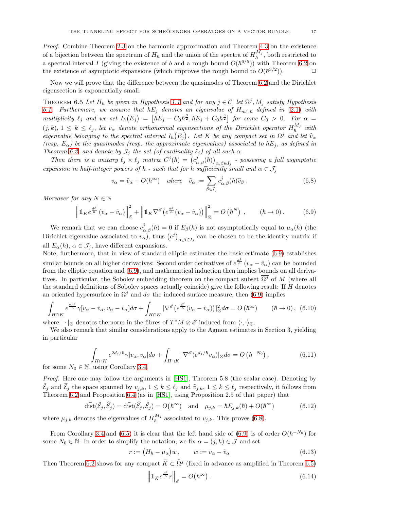Proof. Combine Theorem [2.3](#page-4-5) on the harmonic approximation and Theorem [4.3](#page-9-4) on the existence of a bijection between the spectrum of  $H_{\hbar}$  and the union of the spectra of  $H_{\hbar}^{M_j}$ , both restricted to a spectral interval I (giving the existence of b and a rough bound  $O(\hbar^{6/5})$ ) with Theorem [6.2](#page-15-2) on the existence of asymptotic expansions (which improves the rough bound to  $O(\hbar^{3/2})$ ).

Now we will prove that the difference between the quasimodes of Theorem [6.2](#page-15-2) and the Dirichlet eigensection is exponentially small.

<span id="page-16-2"></span>THEOREM 6.5 Let  $H_{\hbar}$  be given in Hypothesis [1.1](#page-1-3) and for any  $j \in \mathcal{C}$ , let  $\Omega^j$ ,  $M_j$  satisfy Hypothesis [6.1.](#page-14-5) Furthermore, we assume that  $\hbar E_j$  denotes an eigenvalue of  $H_{m,j}$  defined in [\(2.1\)](#page-3-0) with multiplicity  $\ell_j$  and we set  $I_h(E_j) = \left[\hbar E_j - C_0 \hbar^{\frac{3}{2}}, \hbar E_j + C_0 \hbar^{\frac{3}{2}}\right]$  for some  $C_0 > 0$ . For  $\alpha =$  $(j, k), 1 \leq k \leq \ell_j$ , let  $v_\alpha$  denote orthonormal eigensections of the Dirichlet operator  $H_h^{M_j}$  with eigenvalue belonging to the spectral interval  $I_h(E_j)$ . Let K be any compact set in  $\Omega^j$  and let  $\widehat{v}_{\alpha}$ (resp.  $E_{\alpha}$ ) be the quasimodes (resp. the approximate eigenvalues) associated to  $\hbar E_i$ , as defined in Theorem [6.2,](#page-15-2) and denote by  $\mathcal{J}_j$  the set (of cardinality  $\ell_j$ ) of all such  $\alpha$ .

Then there is a unitary  $\ell_j \times \ell_j$  matrix  $C^j(\hbar) = (c^j_{\alpha,\beta}(\hbar))_{\alpha,\beta \in I_j}$  - possesing a full asymptotic expansion in half-integer powers of  $\hbar$  - such that for  $\hbar$  sufficiently small and  $\alpha \in \mathcal{J}_j$ 

<span id="page-16-1"></span>
$$
v_{\alpha} = \tilde{v}_{\alpha} + O(\hbar^{\infty}) \quad where \quad \tilde{v}_{\alpha} := \sum_{\beta \in I_j} c_{\alpha,\beta}^{j}(\hbar) \hat{v}_{\beta} . \tag{6.8}
$$

Moreover for any  $N \in \mathbb{N}$ 

<span id="page-16-0"></span>
$$
\left\|1_{K}e^{\frac{d^{j}}{\hbar}}\left(v_{\alpha}-\tilde{v}_{\alpha}\right)\right\|_{\mathscr{E}}^{2}+\left\|1_{K}\nabla^{\mathscr{E}}\left(e^{\frac{d^{j}}{\hbar}}\left(v_{\alpha}-\tilde{v}_{\alpha}\right)\right)\right\|_{\otimes}^{2}=O\left(\hbar^{N}\right)\,,\qquad\left(\hbar\to 0\right).\tag{6.9}
$$

We remark that we can choose  $c_{\alpha,\beta}^{j}(\hbar) = 0$  if  $E_{\beta}(\hbar)$  is not asymptotically equal to  $\mu_{\alpha}(\hbar)$  (the Dirichlet eigenvalue associated to  $v_{\alpha}$ , thus  $(c^{j})_{\alpha,\beta\in I_j}$  can be chosen to be the identity matrix if all  $E_{\alpha}(\hbar)$ ,  $\alpha \in \mathcal{J}_i$ , have different expansions.

Note, furthermore, that in view of standard elliptic estimates the basic estimate [\(6.9\)](#page-16-0) establishes similar bounds on all higher derivatives: Second order derivatives of  $e^{\frac{d^j}{\hbar}}(v_\alpha - \tilde{v}_\alpha)$  can be bounded from the elliptic equation and [\(6.9\)](#page-16-0), and mathematical induction then implies bounds on all derivatives. In particular, the Sobolev embedding theorem on the compact subset  $\Omega^{j}$  of M (where all the standard definitions of Sobolev spaces actually coincide) give the following result: If H denotes an oriented hypersurface in  $\Omega^j$  and  $d\sigma$  the induced surface measure, then [\(6.9\)](#page-16-0) implies

<span id="page-16-4"></span>
$$
\int_{H\cap K} e^{\frac{2d^j}{\hbar}} \gamma [v_\alpha - \tilde{v}_\alpha, v_\alpha - \tilde{v}_\alpha] d\sigma + \int_{H\cap K} |\nabla^\mathscr{E} (e^{\frac{d^j}{\hbar}} (v_\alpha - \tilde{v}_\alpha))|_\otimes^2 d\sigma = O(\hbar^\infty) \qquad (\hbar \to 0), \tag{6.10}
$$

where  $|\cdot|_{\otimes}$  denotes the norm in the fibres of  $T^*M \otimes \mathscr{E}$  induced from  $\langle \cdot, \cdot \rangle_{\otimes}$ .

We also remark that similar considerations apply to the Agmon estimates in Section 3, yielding in particular

$$
\int_{H\cap K} e^{2d_j/\hbar} \gamma[v_\alpha, v_\alpha] d\sigma + \int_{H\cap K} |\nabla^{\mathscr{E}}(e^{d_j/\hbar} v_\alpha)|_{\otimes} d\sigma = O\left(\hbar^{-N_0}\right),\tag{6.11}
$$

 $J_{H\cap K}$ <br>for some  $N_0 \in \mathbb{N}$ , using Corollary [3.4.](#page-7-3)

Proof. Here one may follow the arguments in [\[HS1\]](#page-21-5), Theorem 5.8 (the scalar case). Denoting by  $\tilde{\mathcal{E}}_j$  and  $\hat{\mathcal{E}}_j$  the space spanned by  $v_{j,k}, 1 \leq k \leq \ell_j$  and  $\hat{v}_{j,k}, 1 \leq k \leq \ell_j$  respectively, it follows from Theorem [6.2](#page-15-2) and Proposition [6.4](#page-15-3) (as in [\[HS1\]](#page-21-5), using Proposition 2.5 of that paper) that

$$
\text{dist}(\tilde{\mathcal{E}}_j, \hat{\mathcal{E}}_j) = \text{dist}(\hat{\mathcal{E}}_j, \tilde{\mathcal{E}}_j) = O(\hbar^{\infty}) \quad \text{and} \quad \mu_{j,k} = \hbar E_{j,k}(\hbar) + O(\hbar^{\infty}) \tag{6.12}
$$

where  $\mu_{j,k}$  denotes the eigenvalues of  $H_h^{M_j}$  associated to  $v_{j,k}$ . This proves [\(6.8\)](#page-16-1).

From Corollary [3.4](#page-7-3) and [\(6.5\)](#page-15-1) it is clear that the left hand side of [\(6.9\)](#page-16-0) is of order  $O(\hbar^{-N_0})$  for some  $N_0 \in \mathbb{N}$ . In order to simplify the notation, we fix  $\alpha = (j, k) \in \mathcal{J}$  and set

$$
r := (H_h - \mu_\alpha)w, \qquad w := v_\alpha - \tilde{v}_\alpha \tag{6.13}
$$

Then Theorem [6.2](#page-15-2) shows for any compact  $\tilde{K} \subset \mathring{N}^j$  (fixed in advance as amplified in Theorem [6.5\)](#page-16-2)

<span id="page-16-3"></span>
$$
\left\|1_{\tilde{K}}e^{\frac{d^j}{\hbar}}r\right\|_{\mathscr{E}} = O(\hbar^{\infty})\ .\tag{6.14}
$$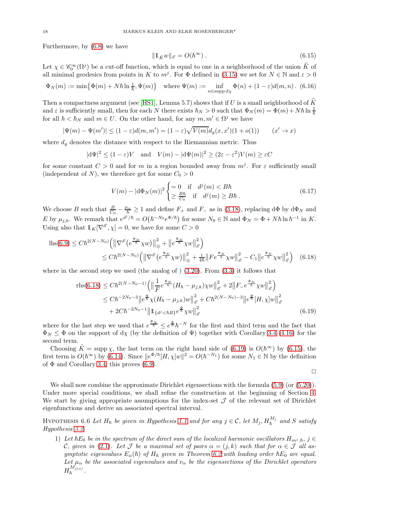Furthermore, by [\(6.8\)](#page-16-1) we have

<span id="page-17-2"></span>
$$
\|\mathbb{1}_{\tilde{K}}w\|_{\mathscr{E}} = O(\hbar^{\infty})\,. \tag{6.15}
$$

Let  $\chi \in \mathscr{C}_0^{\infty}(\Omega^j)$  be a cut-off function, which is equal to one in a neighborhood of the union  $\widehat{K}$  of all minimal geodesics from points in K to  $m^j$ . For  $\Phi$  defined in [\(3.15\)](#page-7-5) we set for  $N \in \mathbb{N}$  and  $\varepsilon > 0$ 

$$
\Phi_N(m) := \min\left\{\Phi(m) + N\hbar \ln \frac{1}{\hbar}, \Psi(m)\right\} \quad \text{where } \Psi(m) := \inf_{n \in \text{supp } d\chi} \Phi(n) + (1 - \varepsilon)d(m, n). \tag{6.16}
$$

Then a compactness argument (see [\[HS1\]](#page-21-5), Lemma 5.7) shows that if U is a small neighborhood of  $\widetilde{K}$ and  $\varepsilon$  is sufficiently small, then for each N there exists  $\hbar_N > 0$  such that  $\Phi_N(m) = \Phi(m) + N\hbar \ln \frac{1}{\hbar}$ for all  $\hbar < \hbar_N$  and  $m \in U$ . On the other hand, for any  $m, m' \in \Omega^j$  we have

$$
|\Psi(m) - \Psi(m')| \le (1 - \varepsilon)d(m, m') = (1 - \varepsilon)\sqrt{V(m)}d_g(x, x')(1 + o(1)) \qquad (x' \to x)
$$

where  $d_q$  denotes the distance with respect to the Riemannian metric. Thus

$$
|\mathrm{d}\Psi|^2 \le (1-\varepsilon)V \quad \text{and} \quad V(m) - |\mathrm{d}\Psi(m)|^2 \ge (2\varepsilon - \varepsilon^2)V(m) \ge \varepsilon C
$$

for some constant  $C > 0$  and for m in a region bounded away from  $m<sup>j</sup>$ . For  $\varepsilon$  sufficiently small (independent of N), we therefore get for some  $C_0 > 0$ 

$$
V(m) - |\mathbf{d}\Phi_N(m)|^2 \begin{cases} = 0 & \text{if } d^j(m) < B\hbar \\ \ge \frac{B\hbar}{C_0} & \text{if } d^j(m) \ge B\hbar \end{cases} . \tag{6.17}
$$

We choose B such that  $\frac{B}{C_0} - \frac{\mu_\alpha}{\hbar} \ge 1$  and define  $F_+$  and  $F_-$  as in [\(3.18\)](#page-7-6), replacing  $d\Phi$  by  $d\Phi_N$  and E by  $\mu_{j,k}$ . We remark that  $e^{d^j/\hbar} = O(\hbar^{-N_0}e^{\Phi/\hbar})$  for some  $N_0 \in \mathbb{N}$  and  $\Phi_N = \Phi + N\hbar \ln \hbar^{-1}$  in K. Using also that  $1\!\!1_K[\nabla^\mathscr{E}, \chi] = 0$ , we have for some  $C > 0$ 

$$
\begin{split} \n\text{ln}(6.9) &\leq C \hbar^{2(N-N_0)} \left( \left\| \nabla^{\mathscr{E}} \left( e^{\frac{\Phi_N}{\hbar}} \chi w \right) \right\|_{\otimes}^2 + \left\| e^{\frac{\Phi_N}{\hbar}} \chi w \right\|_{\mathscr{E}}^2 \right) \\ \n&\leq C \hbar^{2(N-N_0)} \left( \left\| \nabla^{\mathscr{E}} \left( e^{\frac{\Phi_N}{\hbar}} \chi w \right) \right\|_{\otimes}^2 + \frac{1}{4\hbar} \left\| F e^{\frac{\Phi_N}{\hbar}} \chi w \right\|_{\mathscr{E}}^2 - C_1 \left\| e^{\frac{\Phi_N}{\hbar}} \chi w \right\|_{\mathscr{E}}^2 \right) \tag{6.18} \n\end{split}
$$

where in the second step we used (the analog of )  $(3.20)$ . From  $(3.3)$  it follows that

$$
\text{rhs}(6.18) \le C\hbar^{2(N-N_0-1)} \left( \left\| \frac{1}{F} e^{\frac{\Phi_N}{\hbar}} (H_{\hbar} - \mu_{j,k}) \chi w \right\|_{\mathscr{E}}^2 + 2 \left\| F - e^{\frac{\Phi_N}{\hbar}} \chi w \right\|_{\mathscr{E}}^2 \right) \n\le C\hbar^{-2N_0-3} \left\| e^{\frac{\Phi}{\hbar}} \chi (H_{\hbar} - \mu_{j,k}) w \right\|_{\mathscr{E}}^2 + C\hbar^{2(N-N_0)-3} \left\| e^{\frac{\Phi}{\hbar}} [H, \chi] w \right\|_{\mathscr{E}}^2 \n+ 2C\hbar^{-2N_0-1} \left\| 1_{\{d^j < \hbar B\}} e^{\frac{\Phi}{\hbar}} \chi w \right\|_{\mathscr{E}}^2
$$
\n(6.19)

where for the last step we used that  $e^{\frac{\Phi_N}{\hbar}} \leq e^{\frac{\Phi}{\hbar}} \hbar^{-N}$  for the first and third term and the fact that  $\Phi_N \leq \Phi$  on the support of d<sub>X</sub> (by the definition of  $\Psi$ ) together with Corollary [3.4](#page-7-3) [\(4.16\)](#page-9-2) for the second term.

Choosing  $\tilde{K} = \text{supp } \chi$ , the last term on the right hand side of [\(6.19\)](#page-17-1) is  $O(\hbar^{\infty})$  by [\(6.15\)](#page-17-2), the first term is  $O(\hbar^{\infty})$  by [\(6.14\)](#page-16-3). Since  $||e^{\Phi/\hbar}[H,\chi]w||^2 = O(\hbar^{-N_1})$  for some  $N_1 \in \mathbb{N}$  by the definition of  $\Phi$  and Corollary [3.4,](#page-7-3) this proves [\(6.9\)](#page-16-0).

<span id="page-17-1"></span><span id="page-17-0"></span>
$$
\Box
$$

We shall now combine the approximate Dirichlet eigensections with the formula  $(5.9)$  (or  $(5.20)$ ). Under more special conditions, we shall refine the construction at the beginning of Section [4.](#page-7-4) We start by giving appropriate assumptions for the index-set  $\mathcal J$  of the relevant set of Dirichlet eigenfunctions and derive an associated spectral interval.

<span id="page-17-3"></span>HYPOTHESIS 6.6 Let  $H_h$  be given in Hypothesis [1.1](#page-1-3) and for any  $j \in \mathcal{C}$ , let  $M_j$ ,  $H_h^{M_j}$  and S satisfy Hypothesis [3.2.](#page-6-7)

1) Let  $\hbar E_0$  be in the spectrum of the direct sum of the localized harmonic oscillators  $H_{m,j}$ ,  $j \in$ C, given in [\(2.1\)](#page-3-0). Let J be a maximal set of pairs  $\alpha = (j, k)$  such that for  $\alpha \in \mathcal{J}$  all asymptotic eigenvalues  $E_{\alpha}(\hbar)$  of  $H_{\hbar}$  given in Theorem [6.2](#page-15-2) with leading order  $\hbar E_0$  are equal. Let  $\mu_{\alpha}$  be the associated eigenvalues and  $v_{\alpha}$  be the eigensections of the Dirichlet operators  $H_{\hbar}^{M_{j(\alpha)}}.$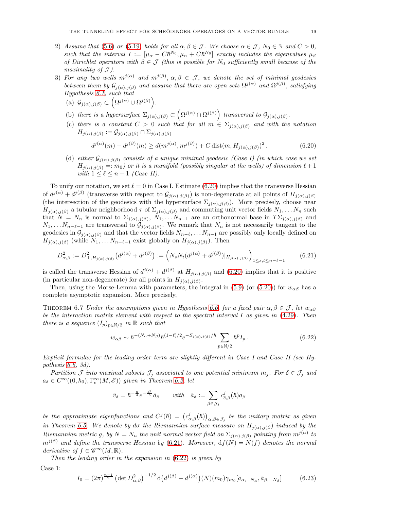- 2) Assume that [\(5.6\)](#page-13-1) or [\(5.19\)](#page-14-7) holds for all  $\alpha, \beta \in \mathcal{J}$ . We choose  $\alpha \in \mathcal{J}$ ,  $N_0 \in \mathbb{N}$  and  $C > 0$ , such that the interval  $I := [\mu_{\alpha} - Ch^{N_0}, \mu_{\alpha} + Ch^{N_0}]$  exactly includes the eigenvalues  $\mu_{\beta}$ of Dirichlet operators with  $\beta \in \mathcal{J}$  (this is possible for N<sub>0</sub> sufficiently small because of the maximality of  $\mathcal{J}$ ).
- 3) For any two wells  $m^{j(\alpha)}$  and  $m^{j(\beta)}$ ,  $\alpha, \beta \in \mathcal{J}$ , we denote the set of minimal geodesics between them by  $\mathcal{G}_{j(\alpha),j(\beta)}$  and assume that there are open sets  $\Omega^{j(\alpha)}$  and  $\Omega^{j(\beta)}$ , satisfying Hypothesis [6.1,](#page-14-5) such that
	- (a)  $\mathcal{G}_{j(\alpha),j(\beta)} \subset (\Omega^{j(\alpha)} \cup \Omega^{j(\beta)}).$
	- (b) there is a hypersurface  $\Sigma_{j(\alpha),j(\beta)} \subset \left(\Omega^{j(\alpha)} \cap \Omega^{j(\beta)}\right)$  transversal to  $\mathcal{G}_{j(\alpha),j(\beta)}$ .
	- (c) there is a constant  $C > 0$  such that for all  $m \in \Sigma_{i(\alpha),j(\beta)}$  and with the notation  $H_{j(\alpha),j(\beta)} := \mathcal{G}_{j(\alpha),j(\beta)} \cap \Sigma_{j(\alpha),j(\beta)}$

<span id="page-18-0"></span>
$$
d^{j(\alpha)}(m) + d^{j(\beta)}(m) \ge d(m^{j(\alpha)}, m^{j(\beta)}) + C \operatorname{dist}(m, H_{j(\alpha), j(\beta)})^2.
$$
 (6.20)

(d) either  $\mathcal{G}_{j(\alpha),j(\beta)}$  consists of a unique minimal geodesic (Case I) (in which case we set  $H_{j(\alpha),j(\beta)} =: m_0$ ) or it is a manifold (possibly singular at the wells) of dimension  $\ell + 1$ with  $1 \leq \ell \leq n-1$  (Case II).

To unify our notation, we set  $\ell = 0$  in Case I. Estimate [\(6.20\)](#page-18-0) implies that the transverse Hessian of  $d^{j(\alpha)} + d^{j(\beta)}$  (transverse with respect to  $\mathcal{G}_{j(\alpha),j(\beta)}$ ) is non-degenerate at all points of  $H_{j(\alpha),j(\beta)}$ (the intersection of the geodesics with the hypersurface  $\Sigma_{i(\alpha),j(\beta)}$ ). More precisely, choose near  $H_{j(\alpha),j(\beta)}$  a tubular neighborhood  $\tau$  of  $\Sigma_{j(\alpha),j(\beta)}$  and commuting unit vector fields  $N_1,\ldots N_n$  such that  $N = N_n$  is normal to  $\Sigma_{j(\alpha),j(\beta)}, N_1, \ldots N_{n-1}$  are an orthonormal base in  $T\Sigma_{j(\alpha),j(\beta)}$  and  $N_1, \ldots N_{n-\ell-1}$  are transversal to  $\mathcal{G}_{j(\alpha),j(\beta)}$ . We remark that  $N_n$  is not necessarily tangent to the geodesics in  $\mathcal{G}_{j(\alpha),j(\beta)}$  and that the vector fields  $N_{n-\ell}, \ldots N_{n-1}$  are possibly only locally defined on  $H_{j(\alpha),j(\beta)}$  (while  $N_1, \ldots N_{n-\ell-1}$  exist globally on  $H_{j(\alpha),j(\beta)}$ ). Then

<span id="page-18-1"></span>
$$
D_{\alpha,\beta}^2 := D_{\perp,H_{j(\alpha),j(\beta)}}^2 \left( d^{j(\alpha)} + d^{j(\beta)} \right) := \left( N_s N_t (d^{j(\alpha)} + d^{j(\beta)}) |_{H_{j(\alpha),j(\beta)}} \right)_{1 \le s,t \le n-\ell-1} \tag{6.21}
$$

is called the transverse Hessian of  $d^{j(\alpha)} + d^{j(\beta)}$  at  $H_{j(\alpha),j(\beta)}$  and [\(6.20\)](#page-18-0) implies that it is positive (in particular non-degenerate) for all points in  $H_{j(\alpha),j(\beta)}$ .

Then, using the Morse-Lemma with parameters, the integral in [\(5.9\)](#page-13-3) (or [\(5.20\)](#page-14-6)) for  $w_{\alpha\beta}$  has a complete asymptotic expansion. More precisely,

<span id="page-18-3"></span>THEOREM 6.7 Under the assumptions given in Hypothesis [6.6,](#page-17-3) for a fixed pair  $\alpha, \beta \in \mathcal{J}$ , let  $w_{\alpha\beta}$ be the interaction matrix element with respect to the spectral interval I as given in [\(4.29\)](#page-10-4). Then there is a sequence  $(I_p)_{p \in \mathbb{N}/2}$  in  $\mathbb R$  such that

<span id="page-18-2"></span>
$$
w_{\alpha\beta} \sim \hbar^{-(N_{\alpha}+N_{\beta})} \hbar^{(1-\ell)/2} e^{-S_{j(\alpha),j(\beta)}/\hbar} \sum_{p \in \mathbb{N}/2} \hbar^p I_p. \tag{6.22}
$$

Explicit formulae for the leading order term are slightly different in Case I and Case II (see Hypothesis [6.6,](#page-17-3) 3d).

Partition  $\mathcal J$  into maximal subsets  $\mathcal J_j$  associated to one potential minimum  $m_j$ . For  $\delta \in \mathcal J_j$  and  $a_{\delta} \in C^{\infty}((0, \hbar_0), \Gamma_c^{\infty}(M, \mathscr{E}))$  given in Theorem [6.2,](#page-15-2) let

$$
\tilde{v}_{\delta} = \hbar^{-\frac{n}{4}} e^{-\frac{d^j}{\hbar}} \tilde{a}_{\delta} \qquad \text{with} \quad \tilde{a}_{\delta} := \sum_{\beta \in \mathcal{J}_j} c^j_{\delta,\beta}(\hbar) a_{\beta}
$$

be the approximate eigenfunctions and  $C^{j}(\hbar) = (c^{j}_{\alpha,\beta}(\hbar))_{\alpha,\beta\in\mathcal{J}_j}$  be the unitary matrix as given in Theorem [6.5.](#page-16-2) We denote by do the Riemannian surface measure on  $H_{j(\alpha),j(\beta)}$  induced by the Riemannian metric g, by  $N = N_n$  the unit normal vector field on  $\Sigma_{j(\alpha),j(\beta)}$  pointing from  $m^{j(\alpha)}$  to  $m^{j(\beta)}$  and define the transverse Hessian by [\(6.21\)](#page-18-1). Moreover,  $df(N) = N(f)$  denotes the normal derivative of  $f \in \mathscr{C}^{\infty}(M,\mathbb{R})$ .

Then the leading order in the expansion in  $(6.22)$  is given by

Case 1:

$$
I_0 = (2\pi)^{\frac{n-1}{2}} \left( \det D^2_{\alpha,\beta} \right)^{-1/2} \mathrm{d} \left( d^{j(\beta)} - d^{j(\alpha)} \right) (N) (m_0) \gamma_{m_0} [\tilde{a}_{\alpha,-N_\alpha}, \tilde{a}_{\beta,-N_\beta}] \tag{6.23}
$$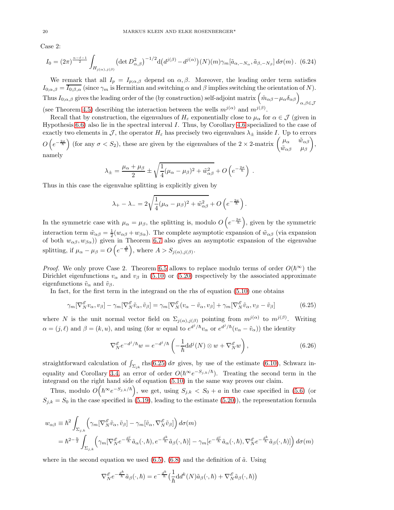Case 2:

$$
I_0 = (2\pi)^{\frac{n-\ell-1}{2}} \int_{H_{j(\alpha),j(\beta)}} \left( \det D^2_{\alpha,\beta} \right)^{-1/2} \mathrm{d} \left( d^{j(\beta)} - d^{j(\alpha)} \right) (N) (m) \gamma_m [\tilde{a}_{\alpha,-N_\alpha}, \tilde{a}_{\beta,-N_\beta}] d\sigma(m) \,. \tag{6.24}
$$

We remark that all  $I_p = I_{p;\alpha,\beta}$  depend on  $\alpha,\beta$ . Moreover, the leading order term satisfies  $I_{0;\alpha,\beta} = \overline{I_{0;\beta,\alpha}}$  (since  $\gamma_m$  is Hermitian and switching  $\alpha$  and  $\beta$  implies switching the orientation of N). Thus  $I_{0;\alpha,\beta}$  gives the leading order of the (by construction) self-adjoint matrix  $(\tilde{m}_{\alpha\beta} - \mu_{\alpha}\delta_{\alpha\beta})_{\alpha,\beta\in\mathcal{J}}$ (see Theorem [4.5\)](#page-11-8) describing the interaction between the wells  $m^{j(\alpha)}$  and  $m^{j(\beta)}$ .

Recall that by construction, the eigenvalues of  $H_{\varepsilon}$  exponentially close to  $\mu_{\alpha}$  for  $\alpha \in \mathcal{J}$  (given in Hypothesis [6.6\)](#page-17-3) also lie in the spectral interval I. Thus, by Corollary [4.6](#page-12-10) specialized to the case of exactly two elements in J, the operator  $H_{\varepsilon}$  has precisely two eigenvalues  $\lambda_{\pm}$  inside I. Up to errors  $O\left(e^{-\frac{2\sigma}{\hbar}}\right)$  (for any  $\sigma < S_2$ ), these are given by the eigenvalues of the  $2 \times 2$ -matrix  $\begin{pmatrix} \mu_\alpha & \tilde{w}_{\alpha\beta} \\ \tilde{w}_{\alpha\beta} & \mu_\beta \end{pmatrix}$  $\tilde{w}_{\alpha\beta}$   $\mu_{\beta}$  $\setminus$ , namely

$$
\lambda_{\pm} = \frac{\mu_{\alpha} + \mu_{\beta}}{2} \pm \sqrt{\frac{1}{4}(\mu_{\alpha} - \mu_{\beta})^2 + \tilde{w}_{\alpha\beta}^2} + O\left(e^{-\frac{2\sigma}{\hbar}}\right) .
$$

Thus in this case the eigenvalue splitting is explicitly given by

$$
\lambda_{+} - \lambda_{-} = 2\sqrt{\frac{1}{4}(\mu_{\alpha} - \mu_{\beta})^2 + \tilde{w}_{\alpha\beta}^2} + O\left(e^{-\frac{2\sigma}{\hbar}}\right).
$$

In the symmetric case with  $\mu_{\alpha} = \mu_{\beta}$ , the splitting is, modulo  $O\left(e^{-\frac{2\sigma}{\hbar}}\right)$ , given by the symmetric interaction term  $\tilde{w}_{\alpha\beta} = \frac{1}{2}(w_{\alpha\beta} + w_{\beta\alpha})$ . The complete asymptotic expansion of  $\tilde{w}_{\alpha\beta}$  (via expansion of both  $w_{\alpha\beta}, w_{\beta\alpha}$ )) given in Theorem [6.7](#page-18-3) also gives an asymptotic expansion of the eigenvalue splitting, if  $\mu_{\alpha} - \mu_{\beta} = O\left(e^{-\frac{A}{\hbar}}\right)$ , where  $A > S_{j(\alpha),j(\beta)}$ .

*Proof.* We only prove Case 2. Theorem [6.5](#page-16-2) allows to replace modulo terms of order  $O(\hbar^{\infty})$  the Dirichlet eigenfunctions  $v_{\alpha}$  and  $v_{\beta}$  in [\(5.10\)](#page-13-5) or [\(5.20\)](#page-14-6) respectively by the associated approximate eigenfunctions  $\tilde{v}_{\alpha}$  and  $\tilde{v}_{\beta}$ .

In fact, for the first term in the integrand on the rhs of equation [\(5.10\)](#page-13-5) one obtains

<span id="page-19-0"></span>
$$
\gamma_m[\nabla_N^{\mathscr{E}} v_\alpha, v_\beta] - \gamma_m[\nabla_N^{\mathscr{E}} \tilde{v}_\alpha, \tilde{v}_\beta] = \gamma_m[\nabla_N^{\mathscr{E}} (v_\alpha - \tilde{v}_\alpha, v_\beta] + \gamma_m[\nabla_N^{\mathscr{E}} \tilde{v}_\alpha, v_\beta - \tilde{v}_\beta]
$$
(6.25)

where N is the unit normal vector field on  $\Sigma_{j(\alpha),j(\beta)}$  pointing from  $m^{j(\alpha)}$  to  $m^{j(\beta)}$ . Writing  $\alpha = (j, \ell)$  and  $\beta = (k, u)$ , and using (for w equal to  $e^{d^j/\hbar}v_\alpha$  or  $e^{d^j/\hbar}(v_\alpha - \tilde{v}_\alpha)$ ) the identity

$$
\nabla_N^{\mathscr{E}} e^{-d^j/\hbar} w = e^{-d^j/\hbar} \left( -\frac{1}{\hbar} \mathrm{d} d^j(N) \otimes w + \nabla_N^{\mathscr{E}} w \right),\tag{6.26}
$$

straightforward calculation of  $\int_{\Sigma_{jk}}$  rhs[\(6.25\)](#page-19-0) do gives, by use of the estimate [\(6.10\)](#page-16-4), Schwarz in-equality and Corollary [3.4,](#page-7-3) an error of order  $O(\hbar^{\infty}e^{-S_{j,k}/\hbar})$ . Treating the second term in the integrand on the right hand side of equation [\(5.10\)](#page-13-5) in the same way proves our claim.

Thus, modulo  $O(n^{\infty}e^{-S_{j,k}/\hbar})$ , we get, using  $S_{j,k} < S_0 + a$  in the case specified in [\(5.6\)](#page-13-1) (or  $S_{j,k} = S_0$  in the case specified in [\(5.19\)](#page-14-7), leading to the estimate [\(5.20\)](#page-14-6)), the representation formula

$$
w_{\alpha\beta} \equiv \hbar^2 \int_{\Sigma_{j,k}} \left( \gamma_m [\nabla_N^{\mathscr{E}} \tilde{v}_\alpha, \tilde{v}_\beta] - \gamma_m [\tilde{v}_\alpha, \nabla_N^{\mathscr{E}} \tilde{v}_\beta] \right) d\sigma(m)
$$
  
= 
$$
\hbar^2^{-\frac{n}{2}} \int_{\Sigma_{j,k}} \left( \gamma_m [\nabla_N^{\mathscr{E}} e^{-\frac{d^j}{\hbar}} \tilde{a}_\alpha(\cdot, \hbar), e^{-\frac{d^k}{\hbar}} \tilde{a}_\beta(\cdot, \hbar)] - \gamma_m [e^{-\frac{d^j}{\hbar}} \tilde{a}_\alpha(\cdot, \hbar), \nabla_N^{\mathscr{E}} e^{-\frac{d^k}{\hbar}} \tilde{a}_\beta(\cdot, \hbar)] \right) d\sigma(m)
$$

where in the second equation we used  $(6.5)$ ,  $(6.8)$  and the definition of  $\tilde{a}$ . Using

$$
\nabla_{N}^{\mathscr{E}} e^{-\frac{d^{k}}{\hbar}} \tilde{a}_{\beta}(\cdot,\hbar) = e^{-\frac{d^{k}}{\hbar}} \left(\frac{1}{\hbar} \mathrm{d} d^{k}(N) \tilde{a}_{\beta}(\cdot,\hbar) + \nabla_{N}^{\mathscr{E}} \tilde{a}_{\beta}(\cdot,\hbar)\right)
$$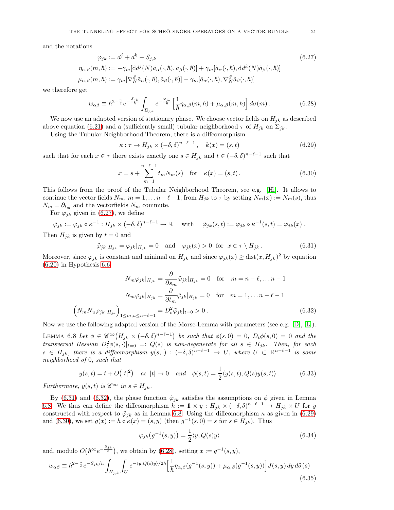and the notations

$$
\varphi_{jk} := d^j + d^k - S_{j,k} \tag{6.27}
$$
\n
$$
\eta_{\alpha,\beta}(m,\hbar) := -\gamma_m [dd^j(N)\tilde{a}_{\alpha}(\cdot,\hbar), \tilde{a}_{\beta}(\cdot,\hbar)] + \gamma_m [\tilde{a}_{\alpha}(\cdot,\hbar), dd^k(N)\tilde{a}_{\beta}(\cdot,\hbar)]
$$
\n
$$
\mu_{\alpha,\beta}(m,\hbar) := \gamma_m [\nabla_N^{\mathscr{E}} \tilde{a}_{\alpha}(\cdot,\hbar), \tilde{a}_{\beta}(\cdot,\hbar)] - \gamma_m [\tilde{a}_{\alpha}(\cdot,\hbar), \nabla_N^{\mathscr{E}} \tilde{a}_{\beta}(\cdot,\hbar)]
$$

we therefore get

<span id="page-20-6"></span>
$$
w_{\alpha\beta} \equiv \hbar^{2-\frac{n}{2}} e^{-\frac{S_{jk}}{\hbar}} \int_{\Sigma_{j,k}} e^{-\frac{\varphi_{jk}}{\hbar}} \left[ \frac{1}{\hbar} \eta_{\alpha,\beta}(m,\hbar) + \mu_{\alpha,\beta}(m,\hbar) \right] d\sigma(m). \tag{6.28}
$$

We now use an adapted version of stationary phase. We choose vector fields on  $H_{jk}$  as described above equation [\(6.21\)](#page-18-1) and a (sufficiently small) tubular neighborhood  $\tau$  of  $H_{ik}$  on  $\Sigma_{ik}$ .

Using the Tubular Neighborhood Theorem, there is a diffeomorphism

<span id="page-20-4"></span><span id="page-20-0"></span>
$$
\kappa : \tau \to H_{jk} \times (-\delta, \delta)^{n-\ell-1}, \quad k(x) = (s, t)
$$
\n(6.29)

such that for each  $x \in \tau$  there exists exactly one  $s \in H_{jk}$  and  $t \in (-\delta, \delta)^{n-\ell-1}$  such that

<span id="page-20-5"></span>
$$
x = s + \sum_{m=1}^{n-\ell-1} t_m N_m(s) \quad \text{for} \quad \kappa(x) = (s, t).
$$
 (6.30)

This follows from the proof of the Tubular Neighborhood Theorem, see e.g. [\[Hi\]](#page-21-12). It allows to continue the vector fields  $N_m$ ,  $m = 1, \ldots n-\ell-1$ , from  $H_{jk}$  to  $\tau$  by setting  $N_m(x) := N_m(s)$ , thus  $N_m = \partial_{t_m}$  and the vectorfields  $N_m$  commute.

For  $\varphi_{ik}$  given in [\(6.27\)](#page-20-0), we define

$$
\tilde{\varphi}_{jk} := \varphi_{jk} \circ \kappa^{-1} : H_{jk} \times (-\delta, \delta)^{n-\ell-1} \to \mathbb{R} \quad \text{with} \quad \tilde{\varphi}_{jk}(s, t) := \varphi_{jk} \circ \kappa^{-1}(s, t) = \varphi_{jk}(x) .
$$

Then  $H_{jk}$  is given by  $t = 0$  and

<span id="page-20-1"></span>
$$
\tilde{\varphi}_{jk}|_{H_{jk}} = \varphi_{jk}|_{H_{jk}} = 0 \quad \text{and} \quad \varphi_{jk}(x) > 0 \quad \text{for} \quad x \in \tau \setminus H_{jk}. \tag{6.31}
$$

Moreover, since  $\varphi_{jk}$  is constant and minimal on  $H_{jk}$  and since  $\varphi_{jk}(x) \geq \text{dist}(x, H_{jk})^2$  by equation  $(6.20)$  in Hypothesis [6.6,](#page-17-3)

$$
N_m \varphi_{jk}|_{H_{jk}} = \frac{\partial}{\partial s_m} \tilde{\varphi}_{jk}|_{H_{jk}} = 0 \quad \text{for} \quad m = n - \ell, \dots n - 1
$$

$$
N_m \varphi_{jk}|_{H_{jk}} = \frac{\partial}{\partial t_m} \tilde{\varphi}_{jk}|_{H_{jk}} = 0 \quad \text{for} \quad m = 1, \dots n - \ell - 1
$$

$$
\left(N_m N_u \varphi_{jk}|_{H_{jk}}\right)_{1 \le m, u \le n - \ell - 1} = D_t^2 \tilde{\varphi}_{jk}|_{t = 0} > 0.
$$
(6.32)

Now we use the following adapted version of the Morse-Lemma with parameters (see e.g. [\[D\]](#page-21-13), [\[L\]](#page-22-9)).

<span id="page-20-3"></span>LEMMA 6.8 Let  $\phi \in \mathscr{C}^{\infty}(H_{jk} \times (-\delta,\delta)^{n-\ell-1})$  be such that  $\phi(s,0) = 0$ ,  $D_t\phi(s,0) = 0$  and the transversal Hessian  $D_t^2 \phi(s, \cdot)|_{t=0} =: Q(s)$  is non-degenerate for all  $s \in H_{jk}$ . Then, for each  $s \in H_{jk}$ , there is a diffeomorphism  $y(s,.) : (-\delta, \delta)^{n-\ell-1} \to U$ , where  $U \subset \mathbb{R}^{n-\ell-1}$  is some neighborhood of 0, such that

$$
y(s,t) = t + O(|t|^2)
$$
 as  $|t| \to 0$  and  $\phi(s,t) = \frac{1}{2} \langle y(s,t), Q(s)y(s,t) \rangle$ . (6.33)

Furthermore,  $y(s, t)$  is  $\mathscr{C}^{\infty}$  in  $s \in H_{ik}$ .

By [\(6.31\)](#page-20-1) and [\(6.32\)](#page-20-2), the phase function  $\tilde{\varphi}_{jk}$  satisfies the assumptions on  $\phi$  given in Lemma [6.8.](#page-20-3) We thus can define the diffeomorphism  $h := 1 \times y : H_{jk} \times (-\delta, \delta)^{n-\ell-1} \to H_{jk} \times U$  for y constructed with respect to  $\tilde{\varphi}_{jk}$  as in Lemma [6.8.](#page-20-3) Using the diffeomorphism  $\kappa$  as given in [\(6.29\)](#page-20-4) and [\(6.30\)](#page-20-5), we set  $g(x) := h \circ \kappa(x) = (s, y)$  (then  $g^{-1}(s, 0) = s$  for  $s \in H_{jk}$ ). Thus

<span id="page-20-2"></span>
$$
\varphi_{jk}(g^{-1}(s,y)) = \frac{1}{2}\langle y, Q(s)y \rangle \tag{6.34}
$$

and, modulo  $O(\hbar^{\infty}e^{-\frac{S_{jk}}{\hbar}})$ , we obtain by [\(6.28\)](#page-20-6), setting  $x := g^{-1}(s, y)$ ,

<span id="page-20-7"></span>
$$
w_{\alpha\beta} \equiv \hbar^{2-\frac{n}{2}} e^{-S_{jk}/\hbar} \int_{H_{j,k}} \int_{U} e^{-\langle y, Q(s)y \rangle/2\hbar} \left[ \frac{1}{\hbar} \eta_{\alpha,\beta}(g^{-1}(s,y)) + \mu_{\alpha,\beta}(g^{-1}(s,y)) \right] J(s,y) \, dy \, d\tilde{\sigma}(s)
$$
\n(6.35)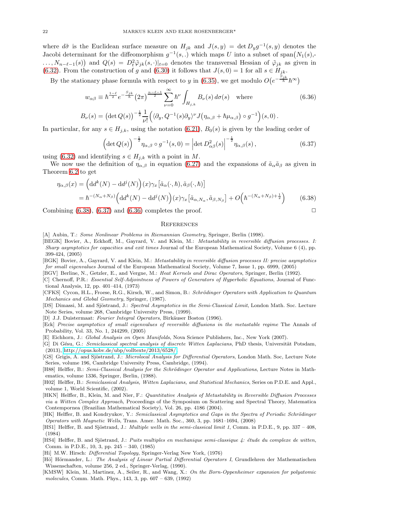where  $d\tilde{\sigma}$  is the Euclidean surface measure on  $H_{jk}$  and  $J(s, y) = \det D_y g^{-1}(s, y)$  denotes the Jacobi determinant for the diffeomorphism  $g^{-1}(s,.)$  which maps U into a subset of span $(N_1(s),-)$  $\ldots, N_{n-\ell-1}(s)$  and  $Q(s) = D_t^2 \tilde{\varphi}_{jk}(s, \cdot)|_{t=0}$  denotes the transversal Hessian of  $\tilde{\varphi}_{jk}$  as given in [\(6.32\)](#page-20-2). From the construction of g and [\(6.30\)](#page-20-5) it follows that  $J(s, 0) = 1$  for all  $s \in H_{jk}$ .

By the stationary phase formula with respect to y in [\(6.35\)](#page-20-7), we get modulo  $O(e^{-\frac{S_{jk}}{\hbar}}\hbar^{\infty})$ 

$$
w_{\alpha\beta} \equiv \hbar^{\frac{1-\ell}{2}} e^{-\frac{S_{jk}}{\hbar}} (2\pi)^{\frac{n-\ell-1}{2}} \sum_{\nu=0}^{\infty} \hbar^{\nu} \int_{H_{j,k}} B_{\nu}(s) d\sigma(s) \text{ where } B_{\nu}(s) = (\det Q(s))^{-\frac{1}{2}} \frac{1}{\nu!} \Big( \langle \partial_y, Q^{-1}(s) \partial_y \rangle^{\nu} J(\eta_{\alpha,\beta} + \hbar \mu_{\alpha,\beta}) \circ g^{-1} \Big)(s,0).
$$
 (6.36)

In particular, for any  $s \in H_{j,k}$ , using the notation [\(6.21\)](#page-18-1),  $B_0(s)$  is given by the leading order of

<span id="page-21-15"></span>
$$
\left(\det Q(s)\right)^{-\frac{1}{2}}\eta_{\alpha,\beta}\circ g^{-1}(s,0)=\left|\det D^2_{\alpha\beta}(s)\right|^{-\frac{1}{2}}\eta_{\alpha,\beta}(s),\tag{6.37}
$$

using [\(6.32\)](#page-20-2) and identifying  $s \in H_{j,k}$  with a point in M.

We now use the definition of  $\eta_{\alpha,\beta}$  in equation [\(6.27\)](#page-20-0) and the expansions of  $\tilde{a}_{\alpha}\tilde{a}_{\beta}$  as given in Theorem [6.2](#page-15-2) to get

$$
\eta_{\alpha,\beta}(x) = \left(\mathrm{d}d^{k}(N) - \mathrm{d}d^{j}(N)\right)(x)\gamma_{x}\left[\tilde{a}_{\alpha}(\cdot,\hbar),\tilde{a}_{\beta}(\cdot,\hbar)\right] \n= \hbar^{-(N_{\alpha}+N_{\beta})}\left(\mathrm{d}d^{k}(N) - \mathrm{d}d^{j}(N)\right)(x)\gamma_{x}\left[\tilde{a}_{\alpha,N_{\alpha}},\tilde{a}_{\beta,N_{\beta}}\right] + O\left(\hbar^{-(N_{\alpha}+N_{\beta})+\frac{1}{2}}\right)
$$
\n(6.38)

Combining  $(6.38)$ ,  $(6.37)$  and  $(6.36)$  completes the proof.

<span id="page-21-16"></span><span id="page-21-14"></span>
$$
\mathcal{L}_{\mathcal{L}}
$$

### **REFERENCES**

- <span id="page-21-6"></span>[A] Aubin, T.: Some Nonlinear Problems in Riemannian Geometry, Springer, Berlin (1998).
- <span id="page-21-2"></span>[BEGK] Bovier, A., Eckhoff, M., Gayrard, V. and Klein, M.: Metastability in reversible diffusion processes. I: Sharp asymptotics for capacities and exit times Journal of the European Mathematical Society, Volume 6 (4), pp. 399-424, (2005)
- <span id="page-21-3"></span>[BGK] Bovier, A., Gayrard, V. and Klein, M.: Metastability in reversible diffusion processes II: precise asymptotics for small eigenvalues Journal of the European Mathematical Society, Volume 7, Issue 1, pp. 6999, (2005)
- [BGV] Berline, N., Getzler, E., and Vergne, M.: Heat Kernels and Dirac Operators, Springer, Berlin (1992).
- <span id="page-21-10"></span>[C] Chernoff, P.R.: Essential Self-Adjointness of Powers of Generators of Hyperbolic Equations, Journal of Functional Analysis, 12, pp. 401–414, (1973)
- <span id="page-21-11"></span>[CFKS] Cycon, H.L., Froese, R.G., Kirsch, W., and Simon, B.: Schrödinger Operators with Application to Quantum Mechanics and Global Geometry, Springer, (1987).
- [DS] Dimassi, M. and Sjöstrand, J.: Spectral Asymptotics in the Semi-Classical Limit, London Math. Soc. Lecture Note Series, volume 268, Cambridge University Press, (1999).
- <span id="page-21-13"></span>[D] J.J. Duistermaat: Fourier Integral Operators, Birkäuser Boston (1996).
- <span id="page-21-4"></span>[Eck] Precise asymptotics of small eigenvalues of reversible diffusions in the metastable regime The Annals of Probability, Vol. 33, No. 1, 244299, (2005)
- <span id="page-21-7"></span>[E] Eichhorn, J.: Global Analysis on Open Manifolds, Nova Science Publishers, Inc., New York (2007).
- [G] Di Gésu, G.: Semiclassical spectral analysis of discrete Witten Laplacians, PhD thesis, Universität Potsdam, (2013), [http://opus.kobv.de/ubp/volltexte/2013/6528/.](http://opus.kobv.de/ubp/volltexte/2013/6528/)
- [GS] Grigis, A. and Sjöstrand, J.: Microlocal Analysis for Differential Operators, London Math. Soc, Lecture Note Series, volume 196, Cambridge University Press, Cambridge, (1994).
- [H88] Helffer, B.: Semi-Classical Analysis for the Schrödinger Operator and Applications, Lecture Notes in Mathematics, volume 1336, Springer, Berlin, (1988).
- [H02] Helffer, B.: Semiclassical Analysis, Witten Laplacians, and Statistical Mechanics, Series on P.D.E. and Appl., volume 1, World Scientific, (2002).
- <span id="page-21-1"></span>[HKN] Helffer, B., Klein, M. and Nier, F.: Quantitative Analysis of Metastability in Reversible Diffusion Processes via a Witten Complex Approach, Proceedings of the Symposium on Scattering and Spectral Theory, Matematica Contempornea (Brazilian Mathematical Society), Vol. 26, pp. 4186 (2004).
- <span id="page-21-8"></span>[HK] Helffer, B. and Kondryukov, Y.: Semiclassical Asymptotics and Gaps in the Spectra of Periodic Schrödinger Operators with Magnetic Wells, Trans. Amer. Math. Soc., 360, 3, pp. 1681–1694, (2008)
- <span id="page-21-5"></span>[HS1] Helffer, B. and Sjöstrand, J.: *Multiple wells in the semi-classical limit 1*, Comm. in P.D.E., 9, pp. 337 – 408, (1984)
- <span id="page-21-0"></span>[HS4] Helffer, B. and Sjöstrand, J.: Puits multiples en mechanique semi-classique  $\mu$ : étude du complexe de witten, Comm. in P.D.E., 10, 3, pp. 245 – 340, (1985)
- <span id="page-21-12"></span>[Hi] M.W. Hirsch: *Differential Topology*, Springer-Verlag New York, (1976)
- [Hö] Hörmander, L.: The Analysis of Linear Partial Differential Operators I, Grundlehren der Mathematischen Wissenschaften, volume 256, 2 ed., Springer-Verlag, (1990).
- <span id="page-21-9"></span>[KMSW] Klein, M., Martinez, A., Seiler, R., and Wang, X.: On the Born-Oppenheimer expansion for polyatomic molecules, Comm. Math. Phys., 143, 3, pp. 607 – 639, (1992)